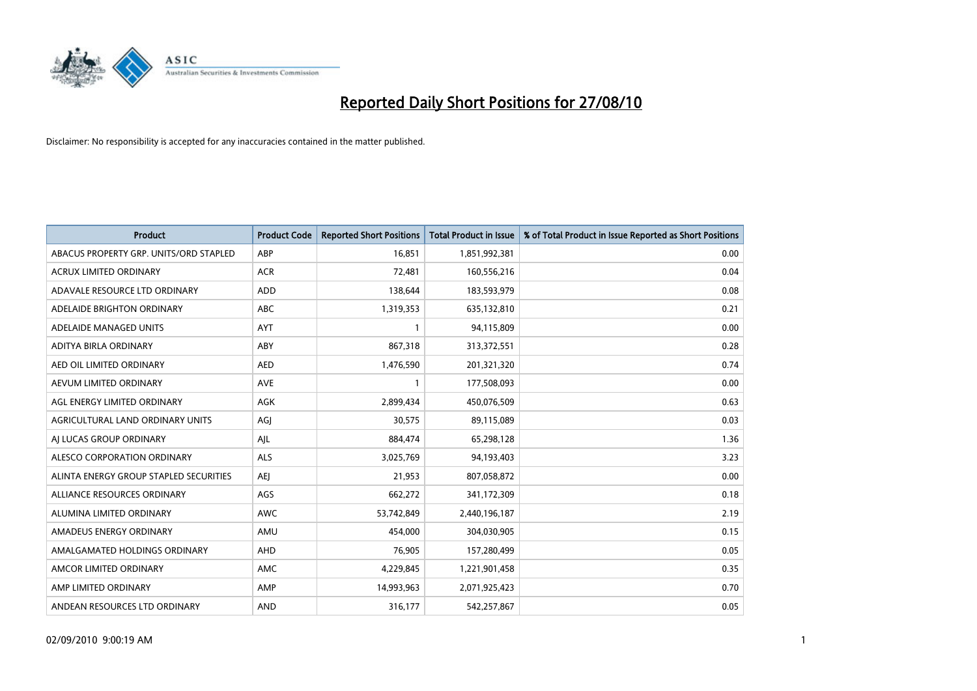

| <b>Product</b>                         | <b>Product Code</b> | <b>Reported Short Positions</b> | Total Product in Issue | % of Total Product in Issue Reported as Short Positions |
|----------------------------------------|---------------------|---------------------------------|------------------------|---------------------------------------------------------|
| ABACUS PROPERTY GRP. UNITS/ORD STAPLED | ABP                 | 16,851                          | 1,851,992,381          | 0.00                                                    |
| ACRUX LIMITED ORDINARY                 | <b>ACR</b>          | 72,481                          | 160,556,216            | 0.04                                                    |
| ADAVALE RESOURCE LTD ORDINARY          | <b>ADD</b>          | 138,644                         | 183,593,979            | 0.08                                                    |
| ADELAIDE BRIGHTON ORDINARY             | <b>ABC</b>          | 1,319,353                       | 635,132,810            | 0.21                                                    |
| ADELAIDE MANAGED UNITS                 | <b>AYT</b>          |                                 | 94,115,809             | 0.00                                                    |
| ADITYA BIRLA ORDINARY                  | ABY                 | 867,318                         | 313,372,551            | 0.28                                                    |
| AED OIL LIMITED ORDINARY               | <b>AED</b>          | 1,476,590                       | 201,321,320            | 0.74                                                    |
| AEVUM LIMITED ORDINARY                 | <b>AVE</b>          |                                 | 177,508,093            | 0.00                                                    |
| AGL ENERGY LIMITED ORDINARY            | AGK                 | 2,899,434                       | 450,076,509            | 0.63                                                    |
| AGRICULTURAL LAND ORDINARY UNITS       | AGJ                 | 30,575                          | 89,115,089             | 0.03                                                    |
| AJ LUCAS GROUP ORDINARY                | AJL                 | 884,474                         | 65,298,128             | 1.36                                                    |
| ALESCO CORPORATION ORDINARY            | <b>ALS</b>          | 3,025,769                       | 94,193,403             | 3.23                                                    |
| ALINTA ENERGY GROUP STAPLED SECURITIES | AEJ                 | 21,953                          | 807,058,872            | 0.00                                                    |
| ALLIANCE RESOURCES ORDINARY            | AGS                 | 662,272                         | 341,172,309            | 0.18                                                    |
| ALUMINA LIMITED ORDINARY               | <b>AWC</b>          | 53,742,849                      | 2,440,196,187          | 2.19                                                    |
| AMADEUS ENERGY ORDINARY                | AMU                 | 454,000                         | 304,030,905            | 0.15                                                    |
| AMALGAMATED HOLDINGS ORDINARY          | AHD                 | 76,905                          | 157,280,499            | 0.05                                                    |
| AMCOR LIMITED ORDINARY                 | <b>AMC</b>          | 4,229,845                       | 1,221,901,458          | 0.35                                                    |
| AMP LIMITED ORDINARY                   | AMP                 | 14,993,963                      | 2,071,925,423          | 0.70                                                    |
| ANDEAN RESOURCES LTD ORDINARY          | <b>AND</b>          | 316,177                         | 542,257,867            | 0.05                                                    |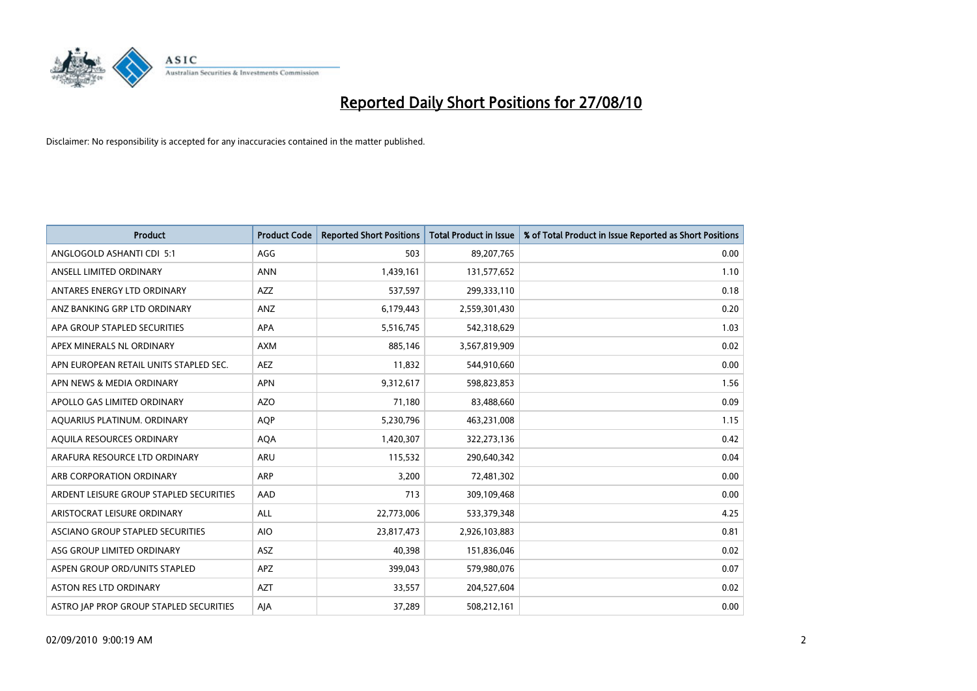

| <b>Product</b>                          | <b>Product Code</b> | <b>Reported Short Positions</b> | <b>Total Product in Issue</b> | % of Total Product in Issue Reported as Short Positions |
|-----------------------------------------|---------------------|---------------------------------|-------------------------------|---------------------------------------------------------|
| ANGLOGOLD ASHANTI CDI 5:1               | AGG                 | 503                             | 89,207,765                    | 0.00                                                    |
| ANSELL LIMITED ORDINARY                 | <b>ANN</b>          | 1,439,161                       | 131,577,652                   | 1.10                                                    |
| ANTARES ENERGY LTD ORDINARY             | <b>AZZ</b>          | 537,597                         | 299,333,110                   | 0.18                                                    |
| ANZ BANKING GRP LTD ORDINARY            | ANZ                 | 6,179,443                       | 2,559,301,430                 | 0.20                                                    |
| APA GROUP STAPLED SECURITIES            | <b>APA</b>          | 5,516,745                       | 542,318,629                   | 1.03                                                    |
| APEX MINERALS NL ORDINARY               | <b>AXM</b>          | 885,146                         | 3,567,819,909                 | 0.02                                                    |
| APN EUROPEAN RETAIL UNITS STAPLED SEC.  | <b>AEZ</b>          | 11,832                          | 544,910,660                   | 0.00                                                    |
| APN NEWS & MEDIA ORDINARY               | <b>APN</b>          | 9,312,617                       | 598,823,853                   | 1.56                                                    |
| APOLLO GAS LIMITED ORDINARY             | <b>AZO</b>          | 71,180                          | 83,488,660                    | 0.09                                                    |
| AQUARIUS PLATINUM. ORDINARY             | <b>AOP</b>          | 5,230,796                       | 463,231,008                   | 1.15                                                    |
| AQUILA RESOURCES ORDINARY               | <b>AQA</b>          | 1,420,307                       | 322,273,136                   | 0.42                                                    |
| ARAFURA RESOURCE LTD ORDINARY           | <b>ARU</b>          | 115,532                         | 290,640,342                   | 0.04                                                    |
| ARB CORPORATION ORDINARY                | <b>ARP</b>          | 3,200                           | 72,481,302                    | 0.00                                                    |
| ARDENT LEISURE GROUP STAPLED SECURITIES | AAD                 | 713                             | 309,109,468                   | 0.00                                                    |
| ARISTOCRAT LEISURE ORDINARY             | <b>ALL</b>          | 22,773,006                      | 533,379,348                   | 4.25                                                    |
| ASCIANO GROUP STAPLED SECURITIES        | <b>AIO</b>          | 23,817,473                      | 2,926,103,883                 | 0.81                                                    |
| ASG GROUP LIMITED ORDINARY              | <b>ASZ</b>          | 40,398                          | 151,836,046                   | 0.02                                                    |
| ASPEN GROUP ORD/UNITS STAPLED           | <b>APZ</b>          | 399,043                         | 579,980,076                   | 0.07                                                    |
| ASTON RES LTD ORDINARY                  | <b>AZT</b>          | 33,557                          | 204,527,604                   | 0.02                                                    |
| ASTRO JAP PROP GROUP STAPLED SECURITIES | AJA                 | 37,289                          | 508,212,161                   | 0.00                                                    |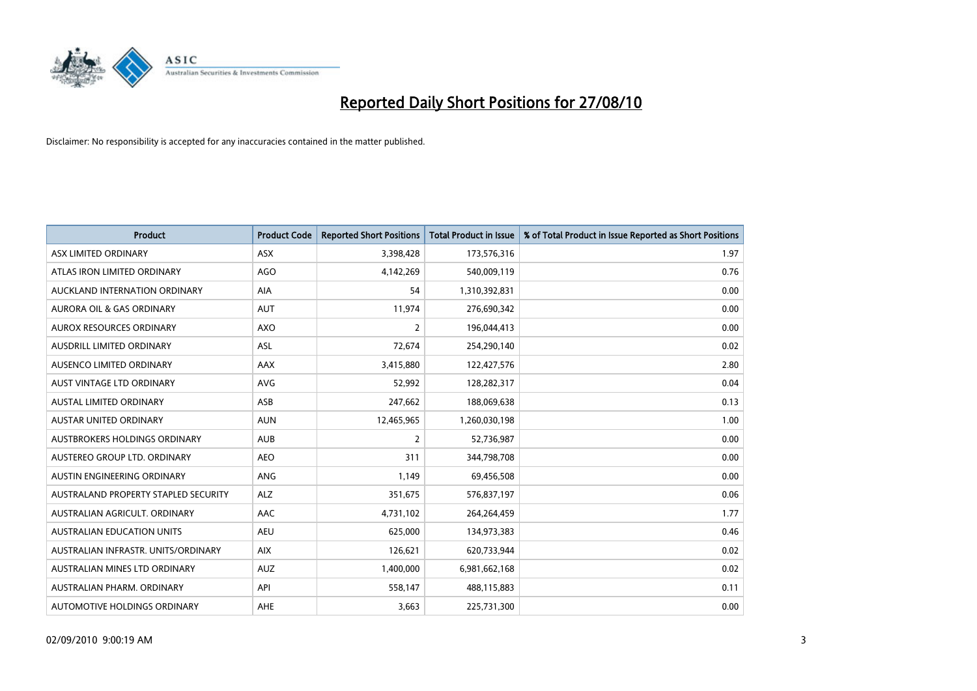

| <b>Product</b>                       | <b>Product Code</b> | <b>Reported Short Positions</b> | <b>Total Product in Issue</b> | % of Total Product in Issue Reported as Short Positions |
|--------------------------------------|---------------------|---------------------------------|-------------------------------|---------------------------------------------------------|
| ASX LIMITED ORDINARY                 | ASX                 | 3,398,428                       | 173,576,316                   | 1.97                                                    |
| ATLAS IRON LIMITED ORDINARY          | AGO                 | 4,142,269                       | 540,009,119                   | 0.76                                                    |
| AUCKLAND INTERNATION ORDINARY        | AIA                 | 54                              | 1,310,392,831                 | 0.00                                                    |
| AURORA OIL & GAS ORDINARY            | <b>AUT</b>          | 11,974                          | 276,690,342                   | 0.00                                                    |
| <b>AUROX RESOURCES ORDINARY</b>      | <b>AXO</b>          | 2                               | 196,044,413                   | 0.00                                                    |
| AUSDRILL LIMITED ORDINARY            | <b>ASL</b>          | 72,674                          | 254,290,140                   | 0.02                                                    |
| AUSENCO LIMITED ORDINARY             | <b>AAX</b>          | 3,415,880                       | 122,427,576                   | 2.80                                                    |
| AUST VINTAGE LTD ORDINARY            | <b>AVG</b>          | 52,992                          | 128,282,317                   | 0.04                                                    |
| AUSTAL LIMITED ORDINARY              | ASB                 | 247,662                         | 188,069,638                   | 0.13                                                    |
| <b>AUSTAR UNITED ORDINARY</b>        | <b>AUN</b>          | 12,465,965                      | 1,260,030,198                 | 1.00                                                    |
| AUSTBROKERS HOLDINGS ORDINARY        | <b>AUB</b>          | 2                               | 52,736,987                    | 0.00                                                    |
| AUSTEREO GROUP LTD. ORDINARY         | <b>AEO</b>          | 311                             | 344,798,708                   | 0.00                                                    |
| AUSTIN ENGINEERING ORDINARY          | ANG                 | 1,149                           | 69,456,508                    | 0.00                                                    |
| AUSTRALAND PROPERTY STAPLED SECURITY | <b>ALZ</b>          | 351,675                         | 576,837,197                   | 0.06                                                    |
| AUSTRALIAN AGRICULT, ORDINARY        | AAC                 | 4,731,102                       | 264,264,459                   | 1.77                                                    |
| <b>AUSTRALIAN EDUCATION UNITS</b>    | <b>AEU</b>          | 625,000                         | 134,973,383                   | 0.46                                                    |
| AUSTRALIAN INFRASTR. UNITS/ORDINARY  | <b>AIX</b>          | 126,621                         | 620,733,944                   | 0.02                                                    |
| AUSTRALIAN MINES LTD ORDINARY        | <b>AUZ</b>          | 1,400,000                       | 6,981,662,168                 | 0.02                                                    |
| AUSTRALIAN PHARM, ORDINARY           | API                 | 558,147                         | 488,115,883                   | 0.11                                                    |
| AUTOMOTIVE HOLDINGS ORDINARY         | AHE                 | 3,663                           | 225,731,300                   | 0.00                                                    |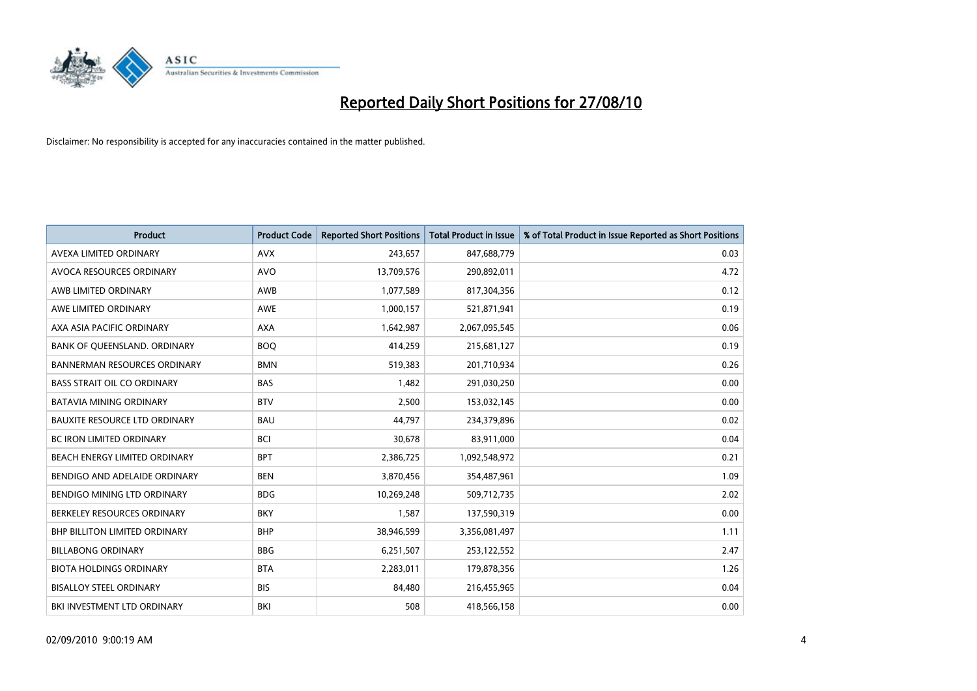

| <b>Product</b>                       | <b>Product Code</b> | <b>Reported Short Positions</b> | Total Product in Issue | % of Total Product in Issue Reported as Short Positions |
|--------------------------------------|---------------------|---------------------------------|------------------------|---------------------------------------------------------|
| AVEXA LIMITED ORDINARY               | <b>AVX</b>          | 243,657                         | 847,688,779            | 0.03                                                    |
| AVOCA RESOURCES ORDINARY             | <b>AVO</b>          | 13,709,576                      | 290,892,011            | 4.72                                                    |
| AWB LIMITED ORDINARY                 | AWB                 | 1,077,589                       | 817,304,356            | 0.12                                                    |
| AWE LIMITED ORDINARY                 | <b>AWE</b>          | 1,000,157                       | 521,871,941            | 0.19                                                    |
| AXA ASIA PACIFIC ORDINARY            | <b>AXA</b>          | 1,642,987                       | 2,067,095,545          | 0.06                                                    |
| BANK OF QUEENSLAND. ORDINARY         | <b>BOQ</b>          | 414,259                         | 215,681,127            | 0.19                                                    |
| <b>BANNERMAN RESOURCES ORDINARY</b>  | <b>BMN</b>          | 519,383                         | 201,710,934            | 0.26                                                    |
| <b>BASS STRAIT OIL CO ORDINARY</b>   | <b>BAS</b>          | 1,482                           | 291,030,250            | 0.00                                                    |
| BATAVIA MINING ORDINARY              | <b>BTV</b>          | 2,500                           | 153,032,145            | 0.00                                                    |
| <b>BAUXITE RESOURCE LTD ORDINARY</b> | <b>BAU</b>          | 44,797                          | 234,379,896            | 0.02                                                    |
| <b>BC IRON LIMITED ORDINARY</b>      | <b>BCI</b>          | 30,678                          | 83,911,000             | 0.04                                                    |
| BEACH ENERGY LIMITED ORDINARY        | <b>BPT</b>          | 2,386,725                       | 1,092,548,972          | 0.21                                                    |
| BENDIGO AND ADELAIDE ORDINARY        | <b>BEN</b>          | 3,870,456                       | 354,487,961            | 1.09                                                    |
| <b>BENDIGO MINING LTD ORDINARY</b>   | <b>BDG</b>          | 10,269,248                      | 509,712,735            | 2.02                                                    |
| BERKELEY RESOURCES ORDINARY          | <b>BKY</b>          | 1,587                           | 137,590,319            | 0.00                                                    |
| BHP BILLITON LIMITED ORDINARY        | <b>BHP</b>          | 38,946,599                      | 3,356,081,497          | 1.11                                                    |
| <b>BILLABONG ORDINARY</b>            | <b>BBG</b>          | 6,251,507                       | 253,122,552            | 2.47                                                    |
| <b>BIOTA HOLDINGS ORDINARY</b>       | <b>BTA</b>          | 2,283,011                       | 179,878,356            | 1.26                                                    |
| <b>BISALLOY STEEL ORDINARY</b>       | <b>BIS</b>          | 84,480                          | 216,455,965            | 0.04                                                    |
| BKI INVESTMENT LTD ORDINARY          | <b>BKI</b>          | 508                             | 418,566,158            | 0.00                                                    |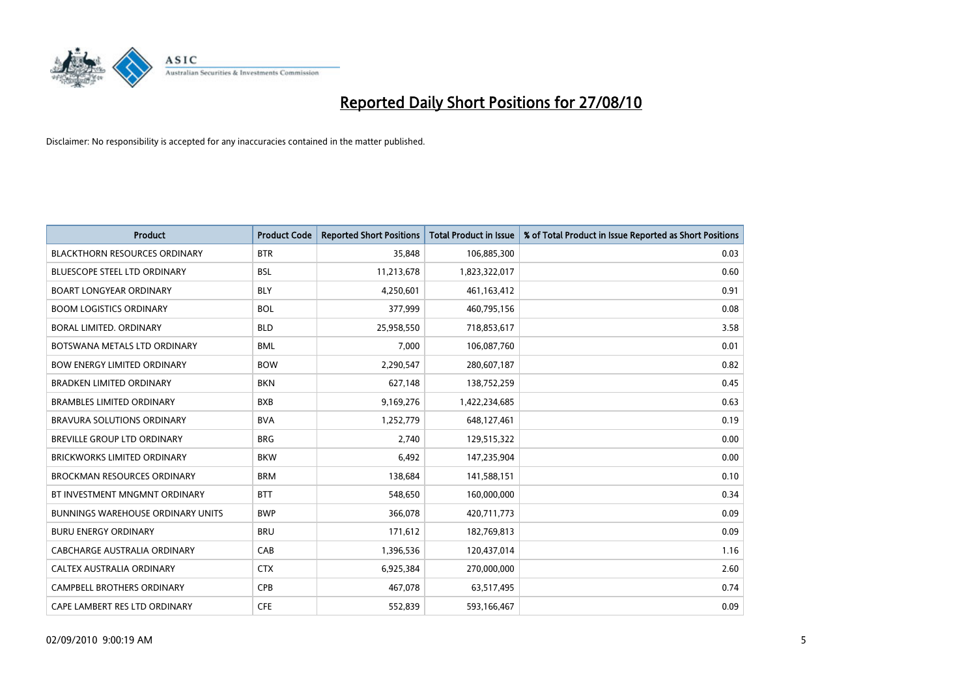

| <b>Product</b>                           | <b>Product Code</b> | <b>Reported Short Positions</b> | <b>Total Product in Issue</b> | % of Total Product in Issue Reported as Short Positions |
|------------------------------------------|---------------------|---------------------------------|-------------------------------|---------------------------------------------------------|
| <b>BLACKTHORN RESOURCES ORDINARY</b>     | <b>BTR</b>          | 35.848                          | 106,885,300                   | 0.03                                                    |
| <b>BLUESCOPE STEEL LTD ORDINARY</b>      | <b>BSL</b>          | 11,213,678                      | 1,823,322,017                 | 0.60                                                    |
| <b>BOART LONGYEAR ORDINARY</b>           | <b>BLY</b>          | 4,250,601                       | 461,163,412                   | 0.91                                                    |
| <b>BOOM LOGISTICS ORDINARY</b>           | <b>BOL</b>          | 377,999                         | 460,795,156                   | 0.08                                                    |
| <b>BORAL LIMITED, ORDINARY</b>           | <b>BLD</b>          | 25,958,550                      | 718,853,617                   | 3.58                                                    |
| BOTSWANA METALS LTD ORDINARY             | <b>BML</b>          | 7,000                           | 106,087,760                   | 0.01                                                    |
| <b>BOW ENERGY LIMITED ORDINARY</b>       | <b>BOW</b>          | 2,290,547                       | 280,607,187                   | 0.82                                                    |
| <b>BRADKEN LIMITED ORDINARY</b>          | <b>BKN</b>          | 627,148                         | 138,752,259                   | 0.45                                                    |
| <b>BRAMBLES LIMITED ORDINARY</b>         | <b>BXB</b>          | 9,169,276                       | 1,422,234,685                 | 0.63                                                    |
| <b>BRAVURA SOLUTIONS ORDINARY</b>        | <b>BVA</b>          | 1,252,779                       | 648,127,461                   | 0.19                                                    |
| <b>BREVILLE GROUP LTD ORDINARY</b>       | <b>BRG</b>          | 2.740                           | 129,515,322                   | 0.00                                                    |
| <b>BRICKWORKS LIMITED ORDINARY</b>       | <b>BKW</b>          | 6,492                           | 147,235,904                   | 0.00                                                    |
| <b>BROCKMAN RESOURCES ORDINARY</b>       | <b>BRM</b>          | 138,684                         | 141,588,151                   | 0.10                                                    |
| BT INVESTMENT MNGMNT ORDINARY            | <b>BTT</b>          | 548,650                         | 160,000,000                   | 0.34                                                    |
| <b>BUNNINGS WAREHOUSE ORDINARY UNITS</b> | <b>BWP</b>          | 366,078                         | 420,711,773                   | 0.09                                                    |
| <b>BURU ENERGY ORDINARY</b>              | <b>BRU</b>          | 171,612                         | 182,769,813                   | 0.09                                                    |
| CABCHARGE AUSTRALIA ORDINARY             | CAB                 | 1,396,536                       | 120,437,014                   | 1.16                                                    |
| CALTEX AUSTRALIA ORDINARY                | <b>CTX</b>          | 6,925,384                       | 270,000,000                   | 2.60                                                    |
| CAMPBELL BROTHERS ORDINARY               | <b>CPB</b>          | 467,078                         | 63,517,495                    | 0.74                                                    |
| CAPE LAMBERT RES LTD ORDINARY            | <b>CFE</b>          | 552,839                         | 593,166,467                   | 0.09                                                    |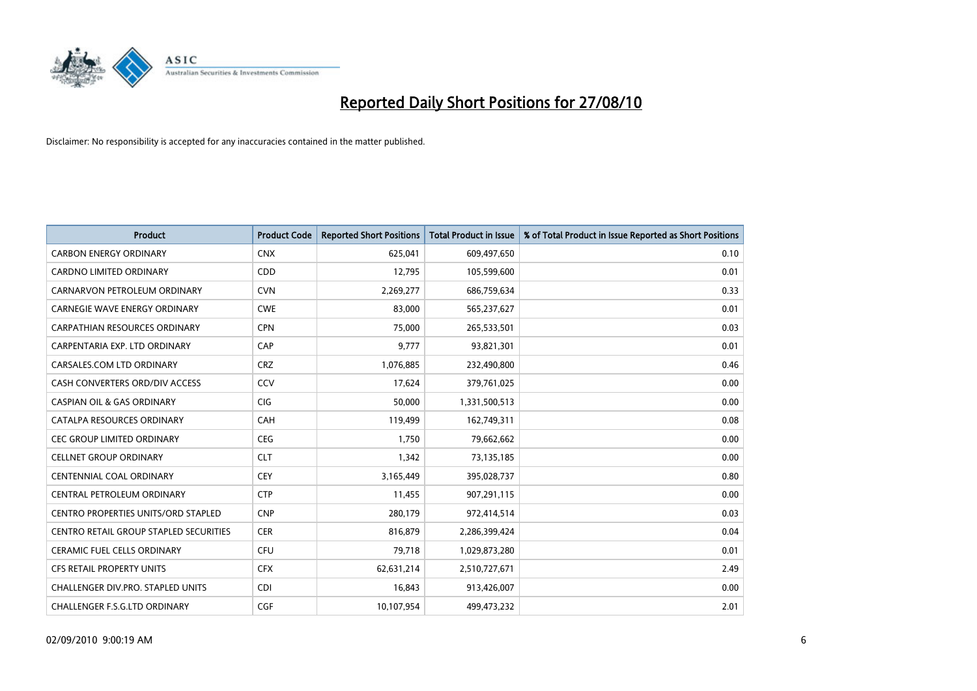

| <b>Product</b>                                | <b>Product Code</b> | <b>Reported Short Positions</b> | <b>Total Product in Issue</b> | % of Total Product in Issue Reported as Short Positions |
|-----------------------------------------------|---------------------|---------------------------------|-------------------------------|---------------------------------------------------------|
| <b>CARBON ENERGY ORDINARY</b>                 | <b>CNX</b>          | 625,041                         | 609,497,650                   | 0.10                                                    |
| CARDNO LIMITED ORDINARY                       | CDD                 | 12,795                          | 105,599,600                   | 0.01                                                    |
| CARNARVON PETROLEUM ORDINARY                  | <b>CVN</b>          | 2,269,277                       | 686,759,634                   | 0.33                                                    |
| <b>CARNEGIE WAVE ENERGY ORDINARY</b>          | <b>CWE</b>          | 83,000                          | 565,237,627                   | 0.01                                                    |
| <b>CARPATHIAN RESOURCES ORDINARY</b>          | <b>CPN</b>          | 75,000                          | 265,533,501                   | 0.03                                                    |
| CARPENTARIA EXP. LTD ORDINARY                 | CAP                 | 9,777                           | 93,821,301                    | 0.01                                                    |
| CARSALES.COM LTD ORDINARY                     | <b>CRZ</b>          | 1,076,885                       | 232,490,800                   | 0.46                                                    |
| CASH CONVERTERS ORD/DIV ACCESS                | CCV                 | 17,624                          | 379,761,025                   | 0.00                                                    |
| <b>CASPIAN OIL &amp; GAS ORDINARY</b>         | <b>CIG</b>          | 50,000                          | 1,331,500,513                 | 0.00                                                    |
| CATALPA RESOURCES ORDINARY                    | CAH                 | 119,499                         | 162,749,311                   | 0.08                                                    |
| <b>CEC GROUP LIMITED ORDINARY</b>             | <b>CEG</b>          | 1,750                           | 79,662,662                    | 0.00                                                    |
| <b>CELLNET GROUP ORDINARY</b>                 | <b>CLT</b>          | 1,342                           | 73,135,185                    | 0.00                                                    |
| <b>CENTENNIAL COAL ORDINARY</b>               | CEY                 | 3,165,449                       | 395,028,737                   | 0.80                                                    |
| CENTRAL PETROLEUM ORDINARY                    | <b>CTP</b>          | 11,455                          | 907,291,115                   | 0.00                                                    |
| <b>CENTRO PROPERTIES UNITS/ORD STAPLED</b>    | <b>CNP</b>          | 280,179                         | 972,414,514                   | 0.03                                                    |
| <b>CENTRO RETAIL GROUP STAPLED SECURITIES</b> | <b>CER</b>          | 816,879                         | 2,286,399,424                 | 0.04                                                    |
| <b>CERAMIC FUEL CELLS ORDINARY</b>            | CFU                 | 79,718                          | 1,029,873,280                 | 0.01                                                    |
| CFS RETAIL PROPERTY UNITS                     | <b>CFX</b>          | 62,631,214                      | 2,510,727,671                 | 2.49                                                    |
| <b>CHALLENGER DIV.PRO. STAPLED UNITS</b>      | <b>CDI</b>          | 16,843                          | 913,426,007                   | 0.00                                                    |
| CHALLENGER F.S.G.LTD ORDINARY                 | CGF                 | 10,107,954                      | 499,473,232                   | 2.01                                                    |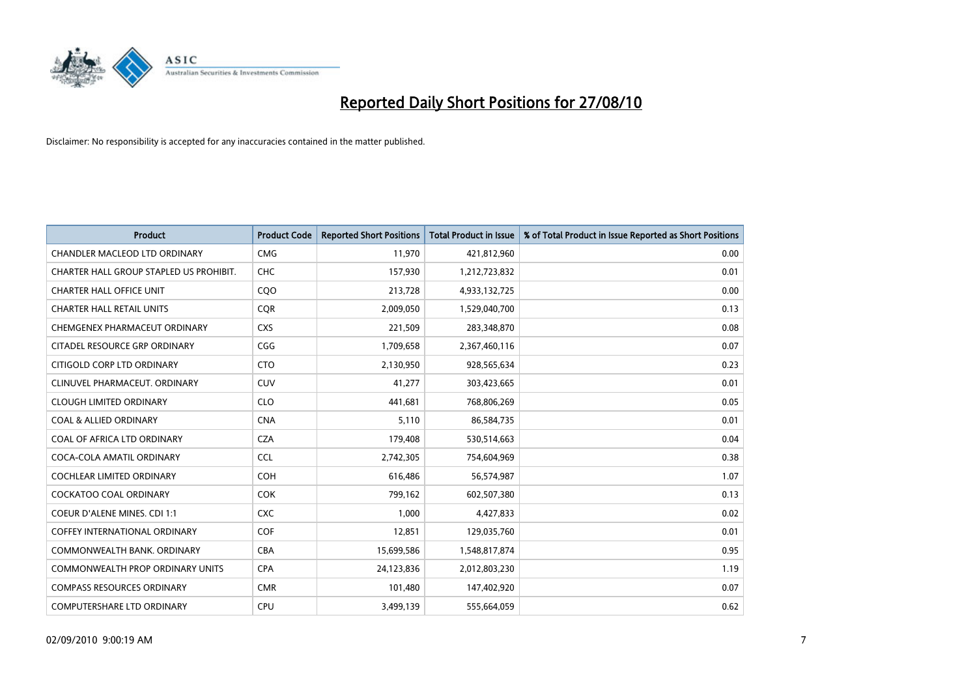

| <b>Product</b>                          | <b>Product Code</b> | <b>Reported Short Positions</b> | Total Product in Issue | % of Total Product in Issue Reported as Short Positions |
|-----------------------------------------|---------------------|---------------------------------|------------------------|---------------------------------------------------------|
| <b>CHANDLER MACLEOD LTD ORDINARY</b>    | <b>CMG</b>          | 11,970                          | 421,812,960            | 0.00                                                    |
| CHARTER HALL GROUP STAPLED US PROHIBIT. | CHC                 | 157,930                         | 1,212,723,832          | 0.01                                                    |
| <b>CHARTER HALL OFFICE UNIT</b>         | CQO                 | 213,728                         | 4,933,132,725          | 0.00                                                    |
| <b>CHARTER HALL RETAIL UNITS</b>        | <b>COR</b>          | 2,009,050                       | 1,529,040,700          | 0.13                                                    |
| CHEMGENEX PHARMACEUT ORDINARY           | <b>CXS</b>          | 221,509                         | 283,348,870            | 0.08                                                    |
| CITADEL RESOURCE GRP ORDINARY           | CGG                 | 1,709,658                       | 2,367,460,116          | 0.07                                                    |
| CITIGOLD CORP LTD ORDINARY              | <b>CTO</b>          | 2,130,950                       | 928,565,634            | 0.23                                                    |
| CLINUVEL PHARMACEUT, ORDINARY           | <b>CUV</b>          | 41,277                          | 303,423,665            | 0.01                                                    |
| <b>CLOUGH LIMITED ORDINARY</b>          | <b>CLO</b>          | 441,681                         | 768,806,269            | 0.05                                                    |
| <b>COAL &amp; ALLIED ORDINARY</b>       | <b>CNA</b>          | 5,110                           | 86,584,735             | 0.01                                                    |
| COAL OF AFRICA LTD ORDINARY             | <b>CZA</b>          | 179,408                         | 530,514,663            | 0.04                                                    |
| COCA-COLA AMATIL ORDINARY               | <b>CCL</b>          | 2,742,305                       | 754,604,969            | 0.38                                                    |
| <b>COCHLEAR LIMITED ORDINARY</b>        | <b>COH</b>          | 616.486                         | 56,574,987             | 1.07                                                    |
| <b>COCKATOO COAL ORDINARY</b>           | <b>COK</b>          | 799.162                         | 602,507,380            | 0.13                                                    |
| COEUR D'ALENE MINES. CDI 1:1            | <b>CXC</b>          | 1,000                           | 4,427,833              | 0.02                                                    |
| <b>COFFEY INTERNATIONAL ORDINARY</b>    | <b>COF</b>          | 12,851                          | 129,035,760            | 0.01                                                    |
| COMMONWEALTH BANK, ORDINARY             | <b>CBA</b>          | 15,699,586                      | 1,548,817,874          | 0.95                                                    |
| <b>COMMONWEALTH PROP ORDINARY UNITS</b> | <b>CPA</b>          | 24,123,836                      | 2,012,803,230          | 1.19                                                    |
| <b>COMPASS RESOURCES ORDINARY</b>       | <b>CMR</b>          | 101,480                         | 147,402,920            | 0.07                                                    |
| <b>COMPUTERSHARE LTD ORDINARY</b>       | <b>CPU</b>          | 3,499,139                       | 555,664,059            | 0.62                                                    |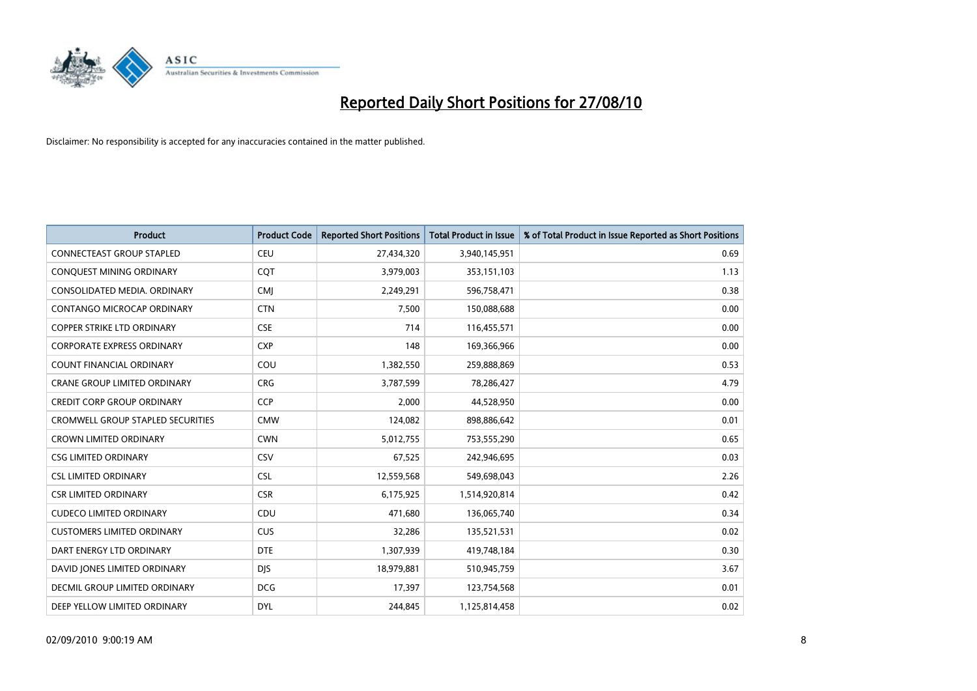

| <b>Product</b>                           | <b>Product Code</b> | <b>Reported Short Positions</b> | <b>Total Product in Issue</b> | % of Total Product in Issue Reported as Short Positions |
|------------------------------------------|---------------------|---------------------------------|-------------------------------|---------------------------------------------------------|
| <b>CONNECTEAST GROUP STAPLED</b>         | <b>CEU</b>          | 27,434,320                      | 3,940,145,951                 | 0.69                                                    |
| CONQUEST MINING ORDINARY                 | <b>COT</b>          | 3,979,003                       | 353,151,103                   | 1.13                                                    |
| CONSOLIDATED MEDIA, ORDINARY             | <b>CMI</b>          | 2,249,291                       | 596,758,471                   | 0.38                                                    |
| CONTANGO MICROCAP ORDINARY               | <b>CTN</b>          | 7,500                           | 150,088,688                   | 0.00                                                    |
| <b>COPPER STRIKE LTD ORDINARY</b>        | <b>CSE</b>          | 714                             | 116,455,571                   | 0.00                                                    |
| CORPORATE EXPRESS ORDINARY               | <b>CXP</b>          | 148                             | 169,366,966                   | 0.00                                                    |
| <b>COUNT FINANCIAL ORDINARY</b>          | COU                 | 1,382,550                       | 259,888,869                   | 0.53                                                    |
| CRANE GROUP LIMITED ORDINARY             | <b>CRG</b>          | 3,787,599                       | 78,286,427                    | 4.79                                                    |
| <b>CREDIT CORP GROUP ORDINARY</b>        | <b>CCP</b>          | 2,000                           | 44,528,950                    | 0.00                                                    |
| <b>CROMWELL GROUP STAPLED SECURITIES</b> | <b>CMW</b>          | 124,082                         | 898,886,642                   | 0.01                                                    |
| <b>CROWN LIMITED ORDINARY</b>            | <b>CWN</b>          | 5,012,755                       | 753,555,290                   | 0.65                                                    |
| <b>CSG LIMITED ORDINARY</b>              | CSV                 | 67,525                          | 242,946,695                   | 0.03                                                    |
| <b>CSL LIMITED ORDINARY</b>              | <b>CSL</b>          | 12,559,568                      | 549,698,043                   | 2.26                                                    |
| <b>CSR LIMITED ORDINARY</b>              | <b>CSR</b>          | 6,175,925                       | 1,514,920,814                 | 0.42                                                    |
| <b>CUDECO LIMITED ORDINARY</b>           | CDU                 | 471,680                         | 136,065,740                   | 0.34                                                    |
| <b>CUSTOMERS LIMITED ORDINARY</b>        | <b>CUS</b>          | 32,286                          | 135,521,531                   | 0.02                                                    |
| DART ENERGY LTD ORDINARY                 | <b>DTE</b>          | 1,307,939                       | 419,748,184                   | 0.30                                                    |
| DAVID JONES LIMITED ORDINARY             | <b>DJS</b>          | 18,979,881                      | 510,945,759                   | 3.67                                                    |
| DECMIL GROUP LIMITED ORDINARY            | <b>DCG</b>          | 17,397                          | 123,754,568                   | 0.01                                                    |
| DEEP YELLOW LIMITED ORDINARY             | <b>DYL</b>          | 244.845                         | 1,125,814,458                 | 0.02                                                    |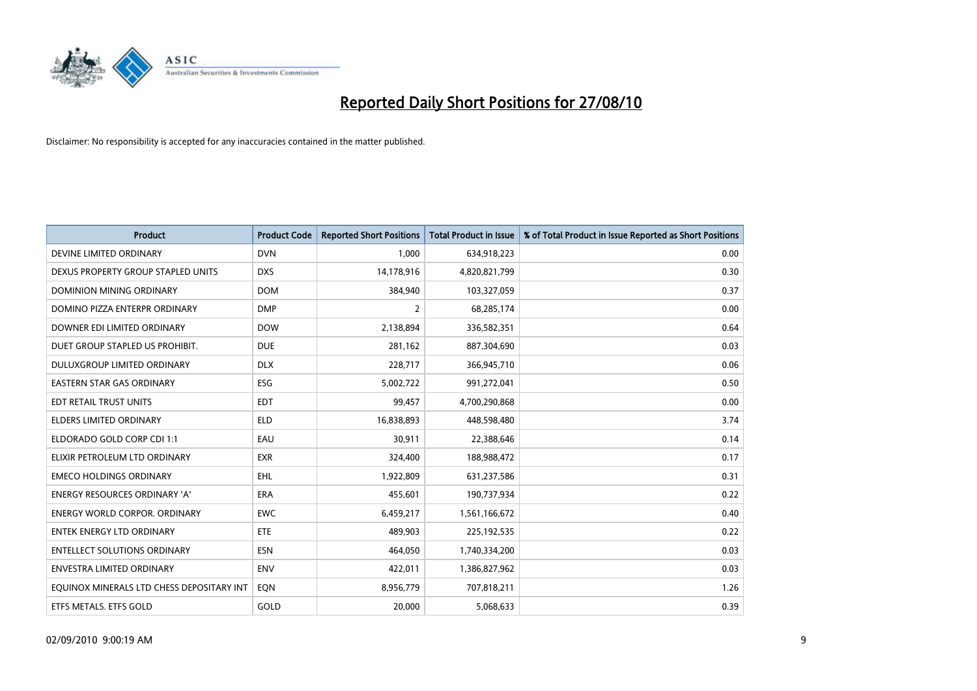

| <b>Product</b>                            | <b>Product Code</b> | <b>Reported Short Positions</b> | <b>Total Product in Issue</b> | % of Total Product in Issue Reported as Short Positions |
|-------------------------------------------|---------------------|---------------------------------|-------------------------------|---------------------------------------------------------|
| DEVINE LIMITED ORDINARY                   | <b>DVN</b>          | 1,000                           | 634,918,223                   | 0.00                                                    |
| DEXUS PROPERTY GROUP STAPLED UNITS        | <b>DXS</b>          | 14,178,916                      | 4,820,821,799                 | 0.30                                                    |
| <b>DOMINION MINING ORDINARY</b>           | <b>DOM</b>          | 384,940                         | 103,327,059                   | 0.37                                                    |
| DOMINO PIZZA ENTERPR ORDINARY             | <b>DMP</b>          | 2                               | 68,285,174                    | 0.00                                                    |
| DOWNER EDI LIMITED ORDINARY               | <b>DOW</b>          | 2,138,894                       | 336,582,351                   | 0.64                                                    |
| DUET GROUP STAPLED US PROHIBIT.           | <b>DUE</b>          | 281,162                         | 887,304,690                   | 0.03                                                    |
| DULUXGROUP LIMITED ORDINARY               | <b>DLX</b>          | 228,717                         | 366,945,710                   | 0.06                                                    |
| <b>EASTERN STAR GAS ORDINARY</b>          | <b>ESG</b>          | 5,002,722                       | 991,272,041                   | 0.50                                                    |
| EDT RETAIL TRUST UNITS                    | <b>EDT</b>          | 99,457                          | 4,700,290,868                 | 0.00                                                    |
| <b>ELDERS LIMITED ORDINARY</b>            | <b>ELD</b>          | 16,838,893                      | 448,598,480                   | 3.74                                                    |
| ELDORADO GOLD CORP CDI 1:1                | EAU                 | 30,911                          | 22,388,646                    | 0.14                                                    |
| ELIXIR PETROLEUM LTD ORDINARY             | <b>EXR</b>          | 324,400                         | 188,988,472                   | 0.17                                                    |
| <b>EMECO HOLDINGS ORDINARY</b>            | <b>EHL</b>          | 1,922,809                       | 631,237,586                   | 0.31                                                    |
| <b>ENERGY RESOURCES ORDINARY 'A'</b>      | <b>ERA</b>          | 455,601                         | 190,737,934                   | 0.22                                                    |
| <b>ENERGY WORLD CORPOR, ORDINARY</b>      | <b>EWC</b>          | 6,459,217                       | 1,561,166,672                 | 0.40                                                    |
| ENTEK ENERGY LTD ORDINARY                 | <b>ETE</b>          | 489,903                         | 225,192,535                   | 0.22                                                    |
| <b>ENTELLECT SOLUTIONS ORDINARY</b>       | <b>ESN</b>          | 464,050                         | 1,740,334,200                 | 0.03                                                    |
| <b>ENVESTRA LIMITED ORDINARY</b>          | <b>ENV</b>          | 422,011                         | 1,386,827,962                 | 0.03                                                    |
| EQUINOX MINERALS LTD CHESS DEPOSITARY INT | EON                 | 8,956,779                       | 707,818,211                   | 1.26                                                    |
| ETFS METALS. ETFS GOLD                    | GOLD                | 20.000                          | 5,068,633                     | 0.39                                                    |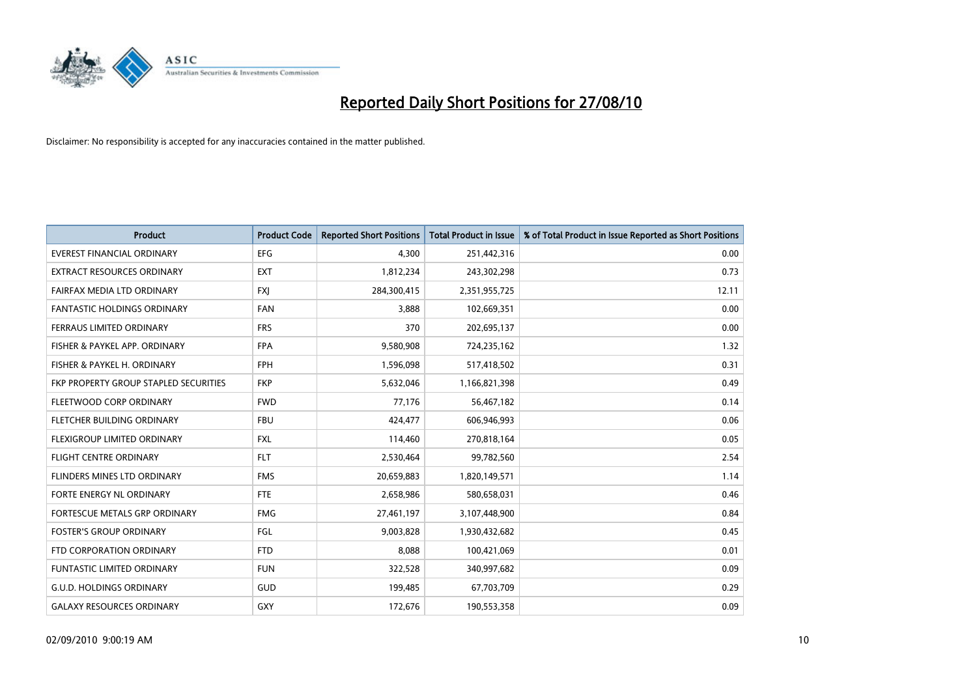

| <b>Product</b>                        | <b>Product Code</b> | <b>Reported Short Positions</b> | <b>Total Product in Issue</b> | % of Total Product in Issue Reported as Short Positions |
|---------------------------------------|---------------------|---------------------------------|-------------------------------|---------------------------------------------------------|
| <b>EVEREST FINANCIAL ORDINARY</b>     | <b>EFG</b>          | 4,300                           | 251,442,316                   | 0.00                                                    |
| EXTRACT RESOURCES ORDINARY            | <b>EXT</b>          | 1,812,234                       | 243,302,298                   | 0.73                                                    |
| FAIRFAX MEDIA LTD ORDINARY            | <b>FXI</b>          | 284,300,415                     | 2,351,955,725                 | 12.11                                                   |
| <b>FANTASTIC HOLDINGS ORDINARY</b>    | <b>FAN</b>          | 3,888                           | 102,669,351                   | 0.00                                                    |
| FERRAUS LIMITED ORDINARY              | <b>FRS</b>          | 370                             | 202,695,137                   | 0.00                                                    |
| FISHER & PAYKEL APP. ORDINARY         | <b>FPA</b>          | 9,580,908                       | 724,235,162                   | 1.32                                                    |
| FISHER & PAYKEL H. ORDINARY           | <b>FPH</b>          | 1,596,098                       | 517,418,502                   | 0.31                                                    |
| FKP PROPERTY GROUP STAPLED SECURITIES | <b>FKP</b>          | 5,632,046                       | 1,166,821,398                 | 0.49                                                    |
| FLEETWOOD CORP ORDINARY               | <b>FWD</b>          | 77,176                          | 56,467,182                    | 0.14                                                    |
| FLETCHER BUILDING ORDINARY            | <b>FBU</b>          | 424,477                         | 606,946,993                   | 0.06                                                    |
| FLEXIGROUP LIMITED ORDINARY           | <b>FXL</b>          | 114,460                         | 270,818,164                   | 0.05                                                    |
| <b>FLIGHT CENTRE ORDINARY</b>         | <b>FLT</b>          | 2,530,464                       | 99,782,560                    | 2.54                                                    |
| FLINDERS MINES LTD ORDINARY           | <b>FMS</b>          | 20,659,883                      | 1,820,149,571                 | 1.14                                                    |
| FORTE ENERGY NL ORDINARY              | <b>FTE</b>          | 2,658,986                       | 580,658,031                   | 0.46                                                    |
| FORTESCUE METALS GRP ORDINARY         | <b>FMG</b>          | 27,461,197                      | 3,107,448,900                 | 0.84                                                    |
| <b>FOSTER'S GROUP ORDINARY</b>        | FGL                 | 9,003,828                       | 1,930,432,682                 | 0.45                                                    |
| FTD CORPORATION ORDINARY              | <b>FTD</b>          | 8,088                           | 100,421,069                   | 0.01                                                    |
| FUNTASTIC LIMITED ORDINARY            | <b>FUN</b>          | 322,528                         | 340,997,682                   | 0.09                                                    |
| <b>G.U.D. HOLDINGS ORDINARY</b>       | GUD                 | 199,485                         | 67,703,709                    | 0.29                                                    |
| <b>GALAXY RESOURCES ORDINARY</b>      | GXY                 | 172,676                         | 190,553,358                   | 0.09                                                    |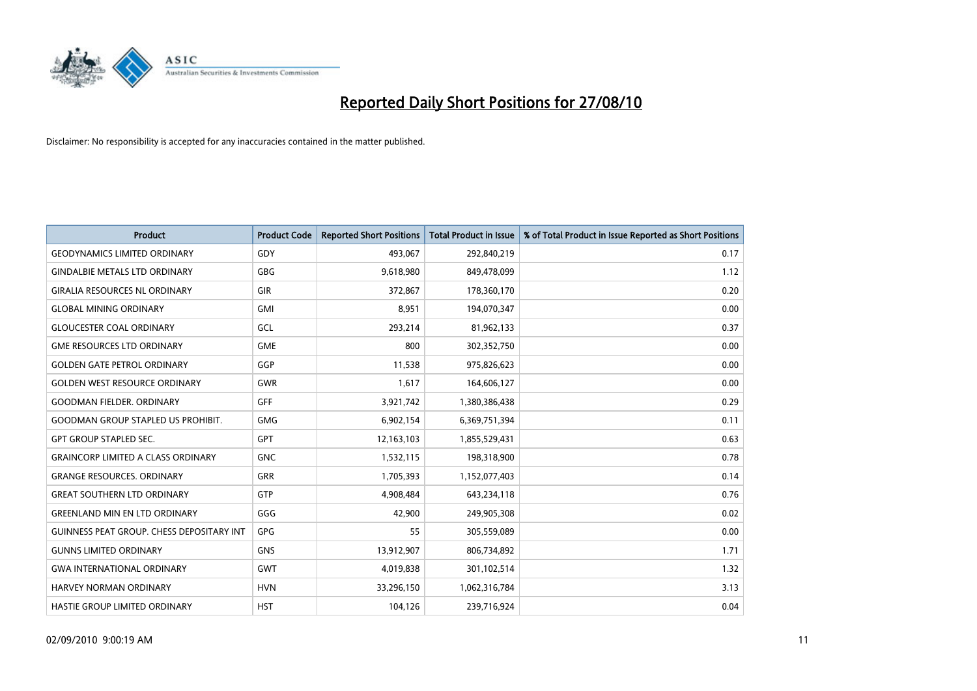

| <b>Product</b>                            | <b>Product Code</b> | <b>Reported Short Positions</b> | Total Product in Issue | % of Total Product in Issue Reported as Short Positions |
|-------------------------------------------|---------------------|---------------------------------|------------------------|---------------------------------------------------------|
| <b>GEODYNAMICS LIMITED ORDINARY</b>       | GDY                 | 493,067                         | 292,840,219            | 0.17                                                    |
| <b>GINDALBIE METALS LTD ORDINARY</b>      | <b>GBG</b>          | 9,618,980                       | 849,478,099            | 1.12                                                    |
| <b>GIRALIA RESOURCES NL ORDINARY</b>      | <b>GIR</b>          | 372,867                         | 178,360,170            | 0.20                                                    |
| <b>GLOBAL MINING ORDINARY</b>             | GMI                 | 8,951                           | 194,070,347            | 0.00                                                    |
| <b>GLOUCESTER COAL ORDINARY</b>           | <b>GCL</b>          | 293,214                         | 81,962,133             | 0.37                                                    |
| <b>GME RESOURCES LTD ORDINARY</b>         | <b>GME</b>          | 800                             | 302,352,750            | 0.00                                                    |
| <b>GOLDEN GATE PETROL ORDINARY</b>        | GGP                 | 11,538                          | 975,826,623            | 0.00                                                    |
| <b>GOLDEN WEST RESOURCE ORDINARY</b>      | <b>GWR</b>          | 1,617                           | 164,606,127            | 0.00                                                    |
| GOODMAN FIELDER. ORDINARY                 | <b>GFF</b>          | 3,921,742                       | 1,380,386,438          | 0.29                                                    |
| <b>GOODMAN GROUP STAPLED US PROHIBIT.</b> | <b>GMG</b>          | 6,902,154                       | 6,369,751,394          | 0.11                                                    |
| <b>GPT GROUP STAPLED SEC.</b>             | <b>GPT</b>          | 12,163,103                      | 1,855,529,431          | 0.63                                                    |
| <b>GRAINCORP LIMITED A CLASS ORDINARY</b> | <b>GNC</b>          | 1,532,115                       | 198,318,900            | 0.78                                                    |
| <b>GRANGE RESOURCES, ORDINARY</b>         | <b>GRR</b>          | 1,705,393                       | 1,152,077,403          | 0.14                                                    |
| <b>GREAT SOUTHERN LTD ORDINARY</b>        | GTP                 | 4,908,484                       | 643,234,118            | 0.76                                                    |
| <b>GREENLAND MIN EN LTD ORDINARY</b>      | GGG                 | 42,900                          | 249,905,308            | 0.02                                                    |
| GUINNESS PEAT GROUP. CHESS DEPOSITARY INT | GPG                 | 55                              | 305,559,089            | 0.00                                                    |
| <b>GUNNS LIMITED ORDINARY</b>             | <b>GNS</b>          | 13,912,907                      | 806,734,892            | 1.71                                                    |
| <b>GWA INTERNATIONAL ORDINARY</b>         | <b>GWT</b>          | 4,019,838                       | 301,102,514            | 1.32                                                    |
| <b>HARVEY NORMAN ORDINARY</b>             | <b>HVN</b>          | 33,296,150                      | 1,062,316,784          | 3.13                                                    |
| HASTIE GROUP LIMITED ORDINARY             | <b>HST</b>          | 104,126                         | 239,716,924            | 0.04                                                    |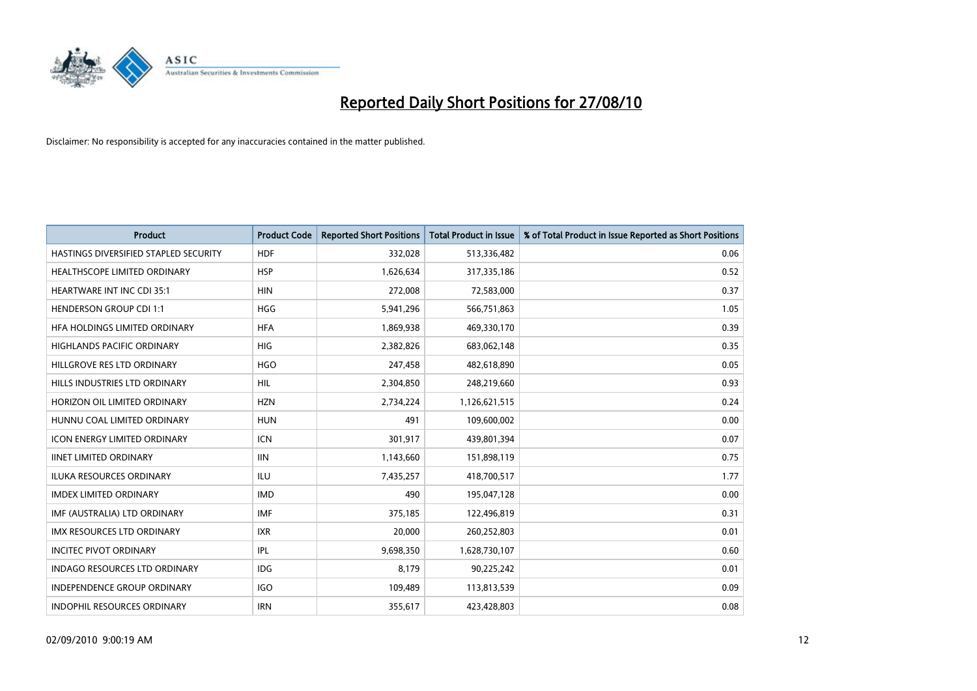

| <b>Product</b>                        | <b>Product Code</b> | <b>Reported Short Positions</b> | <b>Total Product in Issue</b> | % of Total Product in Issue Reported as Short Positions |
|---------------------------------------|---------------------|---------------------------------|-------------------------------|---------------------------------------------------------|
| HASTINGS DIVERSIFIED STAPLED SECURITY | <b>HDF</b>          | 332,028                         | 513,336,482                   | 0.06                                                    |
| HEALTHSCOPE LIMITED ORDINARY          | <b>HSP</b>          | 1,626,634                       | 317,335,186                   | 0.52                                                    |
| <b>HEARTWARE INT INC CDI 35:1</b>     | <b>HIN</b>          | 272,008                         | 72,583,000                    | 0.37                                                    |
| <b>HENDERSON GROUP CDI 1:1</b>        | HGG                 | 5,941,296                       | 566,751,863                   | 1.05                                                    |
| HFA HOLDINGS LIMITED ORDINARY         | <b>HFA</b>          | 1,869,938                       | 469,330,170                   | 0.39                                                    |
| <b>HIGHLANDS PACIFIC ORDINARY</b>     | <b>HIG</b>          | 2,382,826                       | 683,062,148                   | 0.35                                                    |
| HILLGROVE RES LTD ORDINARY            | <b>HGO</b>          | 247,458                         | 482,618,890                   | 0.05                                                    |
| HILLS INDUSTRIES LTD ORDINARY         | HIL                 | 2,304,850                       | 248,219,660                   | 0.93                                                    |
| HORIZON OIL LIMITED ORDINARY          | <b>HZN</b>          | 2,734,224                       | 1,126,621,515                 | 0.24                                                    |
| HUNNU COAL LIMITED ORDINARY           | <b>HUN</b>          | 491                             | 109,600,002                   | 0.00                                                    |
| ICON ENERGY LIMITED ORDINARY          | <b>ICN</b>          | 301,917                         | 439,801,394                   | 0.07                                                    |
| <b>IINET LIMITED ORDINARY</b>         | <b>IIN</b>          | 1,143,660                       | 151,898,119                   | 0.75                                                    |
| ILUKA RESOURCES ORDINARY              | ILU                 | 7,435,257                       | 418,700,517                   | 1.77                                                    |
| <b>IMDEX LIMITED ORDINARY</b>         | <b>IMD</b>          | 490                             | 195,047,128                   | 0.00                                                    |
| IMF (AUSTRALIA) LTD ORDINARY          | <b>IMF</b>          | 375,185                         | 122,496,819                   | 0.31                                                    |
| <b>IMX RESOURCES LTD ORDINARY</b>     | <b>IXR</b>          | 20,000                          | 260,252,803                   | 0.01                                                    |
| <b>INCITEC PIVOT ORDINARY</b>         | <b>IPL</b>          | 9,698,350                       | 1,628,730,107                 | 0.60                                                    |
| INDAGO RESOURCES LTD ORDINARY         | <b>IDG</b>          | 8,179                           | 90,225,242                    | 0.01                                                    |
| <b>INDEPENDENCE GROUP ORDINARY</b>    | IGO                 | 109,489                         | 113,813,539                   | 0.09                                                    |
| INDOPHIL RESOURCES ORDINARY           | <b>IRN</b>          | 355,617                         | 423,428,803                   | 0.08                                                    |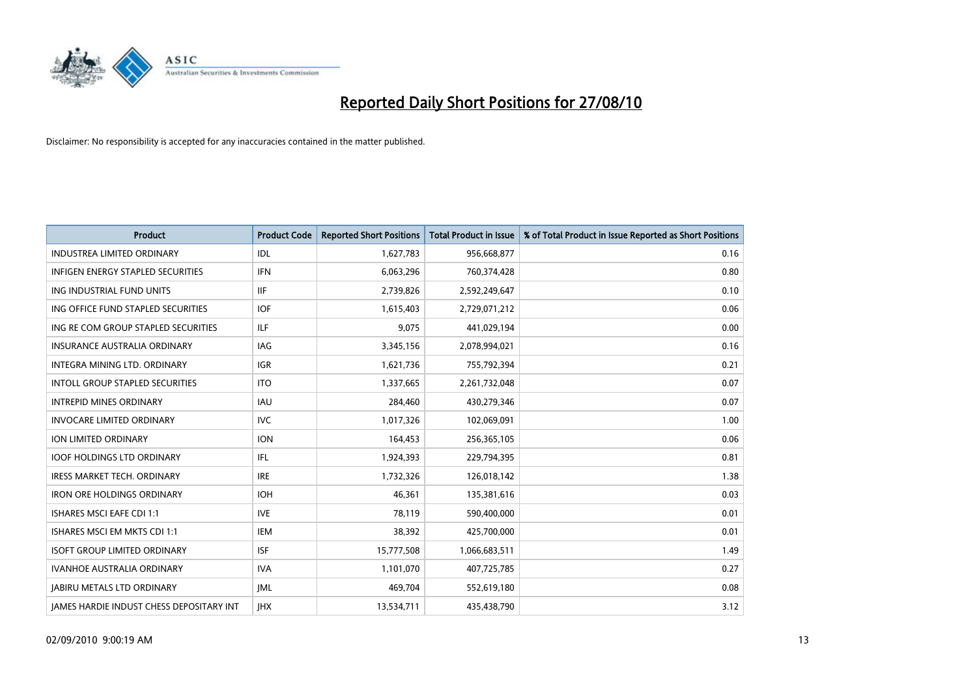

| <b>Product</b>                                  | <b>Product Code</b> | <b>Reported Short Positions</b> | <b>Total Product in Issue</b> | % of Total Product in Issue Reported as Short Positions |
|-------------------------------------------------|---------------------|---------------------------------|-------------------------------|---------------------------------------------------------|
| <b>INDUSTREA LIMITED ORDINARY</b>               | IDL                 | 1,627,783                       | 956,668,877                   | 0.16                                                    |
| INFIGEN ENERGY STAPLED SECURITIES               | <b>IFN</b>          | 6,063,296                       | 760,374,428                   | 0.80                                                    |
| ING INDUSTRIAL FUND UNITS                       | <b>IIF</b>          | 2,739,826                       | 2,592,249,647                 | 0.10                                                    |
| ING OFFICE FUND STAPLED SECURITIES              | <b>IOF</b>          | 1,615,403                       | 2,729,071,212                 | 0.06                                                    |
| ING RE COM GROUP STAPLED SECURITIES             | <b>ILF</b>          | 9,075                           | 441,029,194                   | 0.00                                                    |
| <b>INSURANCE AUSTRALIA ORDINARY</b>             | IAG                 | 3,345,156                       | 2,078,994,021                 | 0.16                                                    |
| INTEGRA MINING LTD, ORDINARY                    | <b>IGR</b>          | 1,621,736                       | 755,792,394                   | 0.21                                                    |
| <b>INTOLL GROUP STAPLED SECURITIES</b>          | <b>ITO</b>          | 1,337,665                       | 2,261,732,048                 | 0.07                                                    |
| <b>INTREPID MINES ORDINARY</b>                  | <b>IAU</b>          | 284,460                         | 430,279,346                   | 0.07                                                    |
| <b>INVOCARE LIMITED ORDINARY</b>                | <b>IVC</b>          | 1,017,326                       | 102,069,091                   | 1.00                                                    |
| <b>ION LIMITED ORDINARY</b>                     | <b>ION</b>          | 164,453                         | 256,365,105                   | 0.06                                                    |
| <b>IOOF HOLDINGS LTD ORDINARY</b>               | IFL.                | 1,924,393                       | 229,794,395                   | 0.81                                                    |
| <b>IRESS MARKET TECH. ORDINARY</b>              | <b>IRE</b>          | 1,732,326                       | 126,018,142                   | 1.38                                                    |
| <b>IRON ORE HOLDINGS ORDINARY</b>               | <b>IOH</b>          | 46,361                          | 135,381,616                   | 0.03                                                    |
| <b>ISHARES MSCI EAFE CDI 1:1</b>                | <b>IVE</b>          | 78,119                          | 590,400,000                   | 0.01                                                    |
| ISHARES MSCI EM MKTS CDI 1:1                    | <b>IEM</b>          | 38,392                          | 425,700,000                   | 0.01                                                    |
| <b>ISOFT GROUP LIMITED ORDINARY</b>             | <b>ISF</b>          | 15,777,508                      | 1,066,683,511                 | 1.49                                                    |
| IVANHOE AUSTRALIA ORDINARY                      | <b>IVA</b>          | 1,101,070                       | 407,725,785                   | 0.27                                                    |
| <b>JABIRU METALS LTD ORDINARY</b>               | <b>JML</b>          | 469,704                         | 552,619,180                   | 0.08                                                    |
| <b>IAMES HARDIE INDUST CHESS DEPOSITARY INT</b> | <b>IHX</b>          | 13,534,711                      | 435,438,790                   | 3.12                                                    |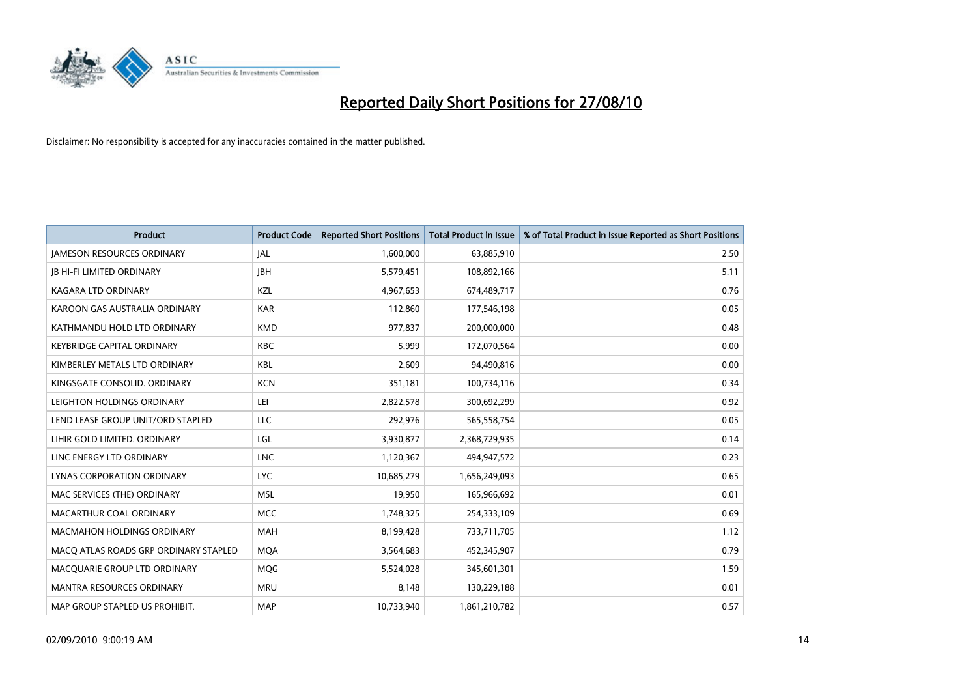

| <b>Product</b>                        | <b>Product Code</b> | <b>Reported Short Positions</b> | Total Product in Issue | % of Total Product in Issue Reported as Short Positions |
|---------------------------------------|---------------------|---------------------------------|------------------------|---------------------------------------------------------|
| <b>JAMESON RESOURCES ORDINARY</b>     | JAL                 | 1,600,000                       | 63,885,910             | 2.50                                                    |
| <b>IB HI-FI LIMITED ORDINARY</b>      | <b>IBH</b>          | 5,579,451                       | 108,892,166            | 5.11                                                    |
| <b>KAGARA LTD ORDINARY</b>            | KZL                 | 4,967,653                       | 674,489,717            | 0.76                                                    |
| KAROON GAS AUSTRALIA ORDINARY         | <b>KAR</b>          | 112,860                         | 177,546,198            | 0.05                                                    |
| KATHMANDU HOLD LTD ORDINARY           | <b>KMD</b>          | 977,837                         | 200,000,000            | 0.48                                                    |
| <b>KEYBRIDGE CAPITAL ORDINARY</b>     | <b>KBC</b>          | 5,999                           | 172,070,564            | 0.00                                                    |
| KIMBERLEY METALS LTD ORDINARY         | <b>KBL</b>          | 2,609                           | 94,490,816             | 0.00                                                    |
| KINGSGATE CONSOLID. ORDINARY          | <b>KCN</b>          | 351,181                         | 100,734,116            | 0.34                                                    |
| LEIGHTON HOLDINGS ORDINARY            | LEI                 | 2,822,578                       | 300,692,299            | 0.92                                                    |
| LEND LEASE GROUP UNIT/ORD STAPLED     | LLC                 | 292,976                         | 565,558,754            | 0.05                                                    |
| LIHIR GOLD LIMITED. ORDINARY          | LGL                 | 3,930,877                       | 2,368,729,935          | 0.14                                                    |
| LINC ENERGY LTD ORDINARY              | <b>LNC</b>          | 1,120,367                       | 494,947,572            | 0.23                                                    |
| LYNAS CORPORATION ORDINARY            | <b>LYC</b>          | 10,685,279                      | 1,656,249,093          | 0.65                                                    |
| MAC SERVICES (THE) ORDINARY           | <b>MSL</b>          | 19,950                          | 165,966,692            | 0.01                                                    |
| MACARTHUR COAL ORDINARY               | <b>MCC</b>          | 1,748,325                       | 254,333,109            | 0.69                                                    |
| MACMAHON HOLDINGS ORDINARY            | <b>MAH</b>          | 8,199,428                       | 733,711,705            | 1.12                                                    |
| MACQ ATLAS ROADS GRP ORDINARY STAPLED | <b>MQA</b>          | 3,564,683                       | 452,345,907            | 0.79                                                    |
| MACQUARIE GROUP LTD ORDINARY          | MQG                 | 5,524,028                       | 345,601,301            | 1.59                                                    |
| <b>MANTRA RESOURCES ORDINARY</b>      | <b>MRU</b>          | 8,148                           | 130,229,188            | 0.01                                                    |
| MAP GROUP STAPLED US PROHIBIT.        | <b>MAP</b>          | 10,733,940                      | 1,861,210,782          | 0.57                                                    |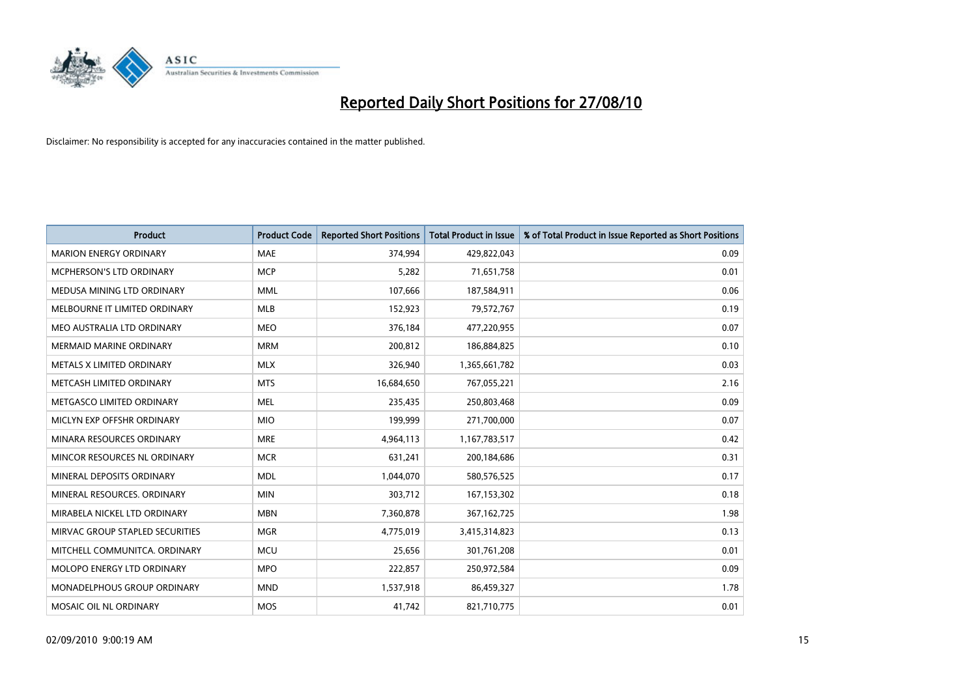

| <b>Product</b>                   | <b>Product Code</b> | <b>Reported Short Positions</b> | <b>Total Product in Issue</b> | % of Total Product in Issue Reported as Short Positions |
|----------------------------------|---------------------|---------------------------------|-------------------------------|---------------------------------------------------------|
| <b>MARION ENERGY ORDINARY</b>    | <b>MAE</b>          | 374,994                         | 429,822,043                   | 0.09                                                    |
| MCPHERSON'S LTD ORDINARY         | <b>MCP</b>          | 5,282                           | 71,651,758                    | 0.01                                                    |
| MEDUSA MINING LTD ORDINARY       | <b>MML</b>          | 107,666                         | 187,584,911                   | 0.06                                                    |
| MELBOURNE IT LIMITED ORDINARY    | <b>MLB</b>          | 152,923                         | 79,572,767                    | 0.19                                                    |
| MEO AUSTRALIA LTD ORDINARY       | <b>MEO</b>          | 376,184                         | 477,220,955                   | 0.07                                                    |
| <b>MERMAID MARINE ORDINARY</b>   | <b>MRM</b>          | 200,812                         | 186,884,825                   | 0.10                                                    |
| <b>METALS X LIMITED ORDINARY</b> | <b>MLX</b>          | 326,940                         | 1,365,661,782                 | 0.03                                                    |
| METCASH LIMITED ORDINARY         | <b>MTS</b>          | 16,684,650                      | 767,055,221                   | 2.16                                                    |
| METGASCO LIMITED ORDINARY        | <b>MEL</b>          | 235,435                         | 250,803,468                   | 0.09                                                    |
| MICLYN EXP OFFSHR ORDINARY       | <b>MIO</b>          | 199,999                         | 271,700,000                   | 0.07                                                    |
| MINARA RESOURCES ORDINARY        | <b>MRE</b>          | 4,964,113                       | 1,167,783,517                 | 0.42                                                    |
| MINCOR RESOURCES NL ORDINARY     | <b>MCR</b>          | 631,241                         | 200,184,686                   | 0.31                                                    |
| MINERAL DEPOSITS ORDINARY        | <b>MDL</b>          | 1,044,070                       | 580,576,525                   | 0.17                                                    |
| MINERAL RESOURCES, ORDINARY      | <b>MIN</b>          | 303,712                         | 167,153,302                   | 0.18                                                    |
| MIRABELA NICKEL LTD ORDINARY     | <b>MBN</b>          | 7,360,878                       | 367, 162, 725                 | 1.98                                                    |
| MIRVAC GROUP STAPLED SECURITIES  | <b>MGR</b>          | 4,775,019                       | 3,415,314,823                 | 0.13                                                    |
| MITCHELL COMMUNITCA. ORDINARY    | <b>MCU</b>          | 25,656                          | 301,761,208                   | 0.01                                                    |
| MOLOPO ENERGY LTD ORDINARY       | <b>MPO</b>          | 222,857                         | 250,972,584                   | 0.09                                                    |
| MONADELPHOUS GROUP ORDINARY      | <b>MND</b>          | 1,537,918                       | 86,459,327                    | 1.78                                                    |
| MOSAIC OIL NL ORDINARY           | <b>MOS</b>          | 41,742                          | 821,710,775                   | 0.01                                                    |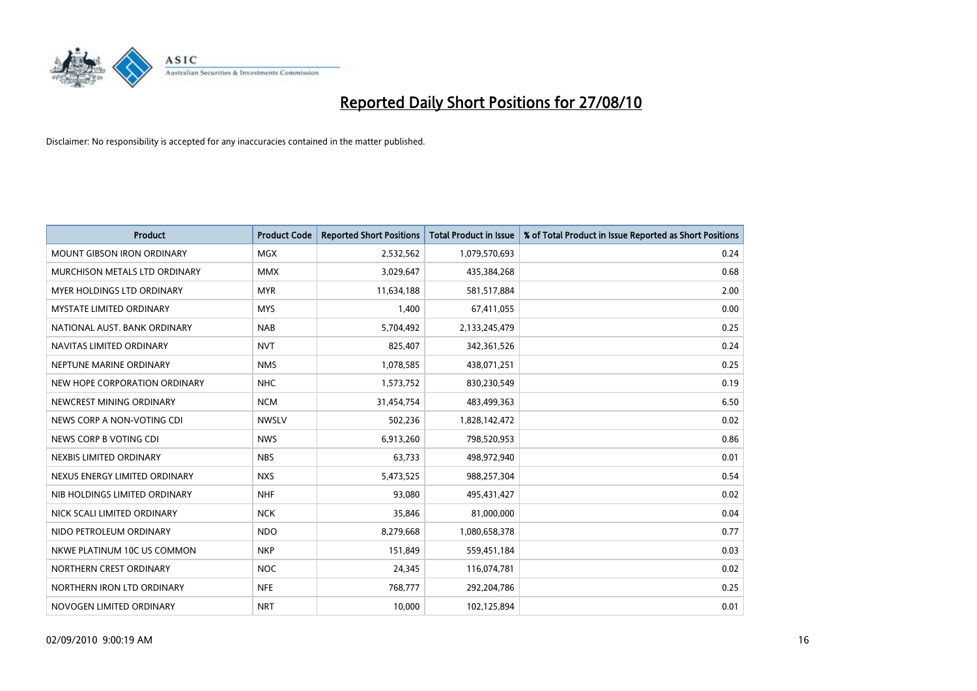

| <b>Product</b>                    | <b>Product Code</b> | <b>Reported Short Positions</b> | <b>Total Product in Issue</b> | % of Total Product in Issue Reported as Short Positions |
|-----------------------------------|---------------------|---------------------------------|-------------------------------|---------------------------------------------------------|
| <b>MOUNT GIBSON IRON ORDINARY</b> | <b>MGX</b>          | 2,532,562                       | 1,079,570,693                 | 0.24                                                    |
| MURCHISON METALS LTD ORDINARY     | <b>MMX</b>          | 3,029,647                       | 435,384,268                   | 0.68                                                    |
| <b>MYER HOLDINGS LTD ORDINARY</b> | <b>MYR</b>          | 11,634,188                      | 581,517,884                   | 2.00                                                    |
| <b>MYSTATE LIMITED ORDINARY</b>   | <b>MYS</b>          | 1,400                           | 67,411,055                    | 0.00                                                    |
| NATIONAL AUST. BANK ORDINARY      | <b>NAB</b>          | 5,704,492                       | 2,133,245,479                 | 0.25                                                    |
| NAVITAS LIMITED ORDINARY          | <b>NVT</b>          | 825,407                         | 342,361,526                   | 0.24                                                    |
| NEPTUNE MARINE ORDINARY           | <b>NMS</b>          | 1,078,585                       | 438,071,251                   | 0.25                                                    |
| NEW HOPE CORPORATION ORDINARY     | <b>NHC</b>          | 1,573,752                       | 830,230,549                   | 0.19                                                    |
| NEWCREST MINING ORDINARY          | <b>NCM</b>          | 31,454,754                      | 483,499,363                   | 6.50                                                    |
| NEWS CORP A NON-VOTING CDI        | <b>NWSLV</b>        | 502,236                         | 1,828,142,472                 | 0.02                                                    |
| NEWS CORP B VOTING CDI            | <b>NWS</b>          | 6,913,260                       | 798,520,953                   | 0.86                                                    |
| NEXBIS LIMITED ORDINARY           | <b>NBS</b>          | 63,733                          | 498,972,940                   | 0.01                                                    |
| NEXUS ENERGY LIMITED ORDINARY     | <b>NXS</b>          | 5,473,525                       | 988,257,304                   | 0.54                                                    |
| NIB HOLDINGS LIMITED ORDINARY     | <b>NHF</b>          | 93,080                          | 495,431,427                   | 0.02                                                    |
| NICK SCALI LIMITED ORDINARY       | <b>NCK</b>          | 35,846                          | 81,000,000                    | 0.04                                                    |
| NIDO PETROLEUM ORDINARY           | <b>NDO</b>          | 8,279,668                       | 1,080,658,378                 | 0.77                                                    |
| NKWE PLATINUM 10C US COMMON       | <b>NKP</b>          | 151,849                         | 559,451,184                   | 0.03                                                    |
| NORTHERN CREST ORDINARY           | <b>NOC</b>          | 24,345                          | 116,074,781                   | 0.02                                                    |
| NORTHERN IRON LTD ORDINARY        | <b>NFE</b>          | 768,777                         | 292,204,786                   | 0.25                                                    |
| NOVOGEN LIMITED ORDINARY          | <b>NRT</b>          | 10,000                          | 102,125,894                   | 0.01                                                    |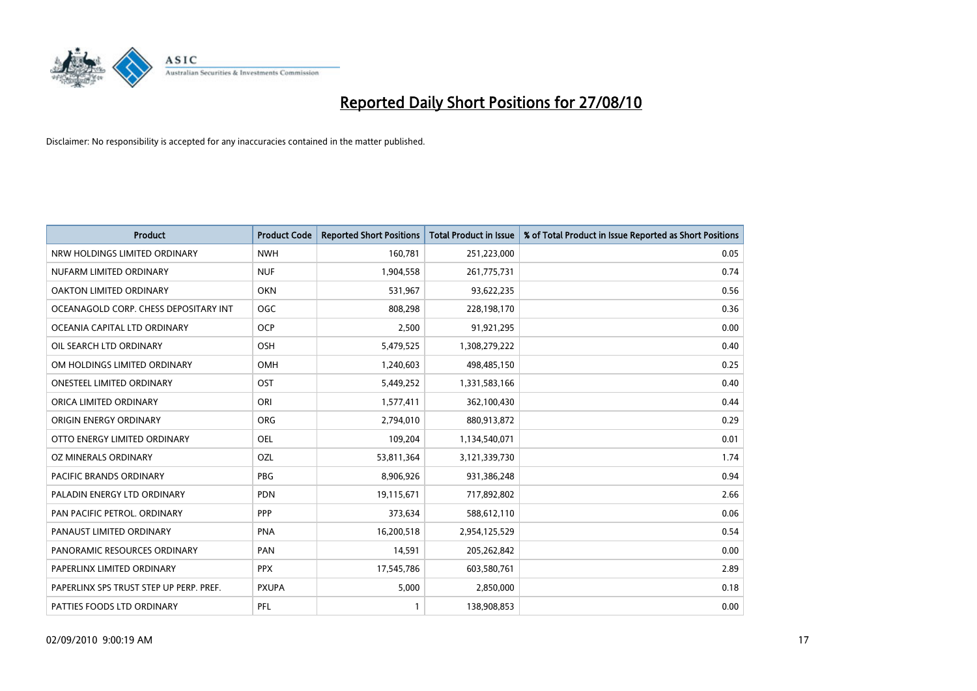

| <b>Product</b>                          | <b>Product Code</b> | <b>Reported Short Positions</b> | <b>Total Product in Issue</b> | % of Total Product in Issue Reported as Short Positions |
|-----------------------------------------|---------------------|---------------------------------|-------------------------------|---------------------------------------------------------|
| NRW HOLDINGS LIMITED ORDINARY           | <b>NWH</b>          | 160,781                         | 251,223,000                   | 0.05                                                    |
| NUFARM LIMITED ORDINARY                 | <b>NUF</b>          | 1,904,558                       | 261,775,731                   | 0.74                                                    |
| OAKTON LIMITED ORDINARY                 | <b>OKN</b>          | 531,967                         | 93,622,235                    | 0.56                                                    |
| OCEANAGOLD CORP. CHESS DEPOSITARY INT   | <b>OGC</b>          | 808,298                         | 228,198,170                   | 0.36                                                    |
| OCEANIA CAPITAL LTD ORDINARY            | OCP                 | 2,500                           | 91,921,295                    | 0.00                                                    |
| OIL SEARCH LTD ORDINARY                 | <b>OSH</b>          | 5,479,525                       | 1,308,279,222                 | 0.40                                                    |
| OM HOLDINGS LIMITED ORDINARY            | <b>OMH</b>          | 1,240,603                       | 498,485,150                   | 0.25                                                    |
| ONESTEEL LIMITED ORDINARY               | OST                 | 5,449,252                       | 1,331,583,166                 | 0.40                                                    |
| ORICA LIMITED ORDINARY                  | ORI                 | 1,577,411                       | 362,100,430                   | 0.44                                                    |
| ORIGIN ENERGY ORDINARY                  | <b>ORG</b>          | 2,794,010                       | 880,913,872                   | 0.29                                                    |
| OTTO ENERGY LIMITED ORDINARY            | OEL                 | 109,204                         | 1,134,540,071                 | 0.01                                                    |
| OZ MINERALS ORDINARY                    | OZL                 | 53,811,364                      | 3,121,339,730                 | 1.74                                                    |
| PACIFIC BRANDS ORDINARY                 | <b>PBG</b>          | 8,906,926                       | 931,386,248                   | 0.94                                                    |
| PALADIN ENERGY LTD ORDINARY             | PDN                 | 19,115,671                      | 717,892,802                   | 2.66                                                    |
| PAN PACIFIC PETROL. ORDINARY            | PPP                 | 373,634                         | 588,612,110                   | 0.06                                                    |
| PANAUST LIMITED ORDINARY                | <b>PNA</b>          | 16,200,518                      | 2,954,125,529                 | 0.54                                                    |
| PANORAMIC RESOURCES ORDINARY            | PAN                 | 14,591                          | 205,262,842                   | 0.00                                                    |
| PAPERLINX LIMITED ORDINARY              | <b>PPX</b>          | 17,545,786                      | 603,580,761                   | 2.89                                                    |
| PAPERLINX SPS TRUST STEP UP PERP. PREF. | <b>PXUPA</b>        | 5,000                           | 2,850,000                     | 0.18                                                    |
| PATTIES FOODS LTD ORDINARY              | PFL                 |                                 | 138,908,853                   | 0.00                                                    |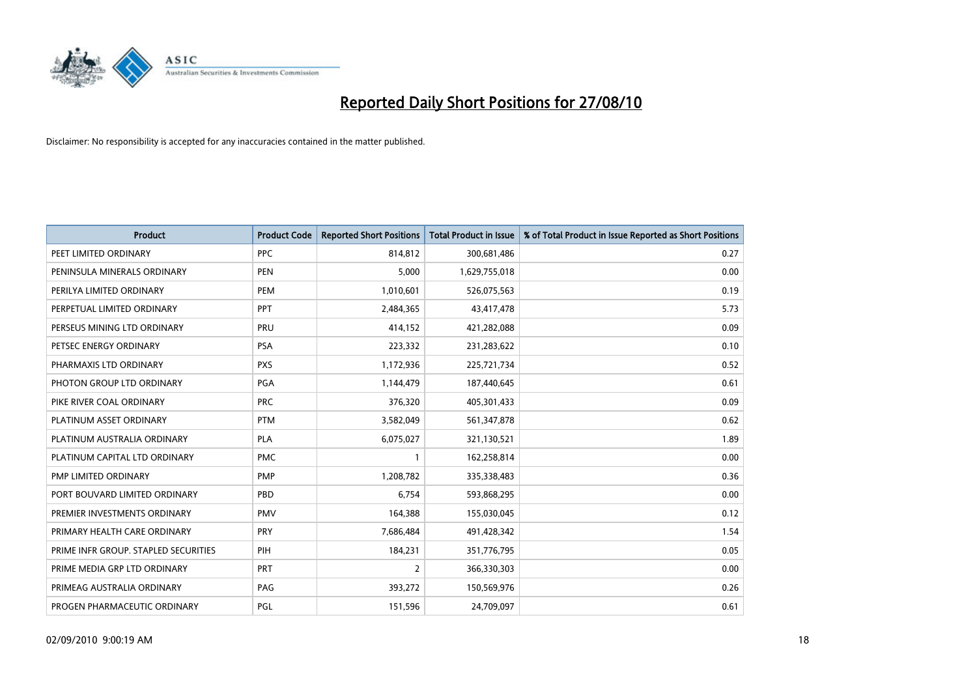

| <b>Product</b>                       | <b>Product Code</b> | <b>Reported Short Positions</b> | <b>Total Product in Issue</b> | % of Total Product in Issue Reported as Short Positions |
|--------------------------------------|---------------------|---------------------------------|-------------------------------|---------------------------------------------------------|
| PEET LIMITED ORDINARY                | <b>PPC</b>          | 814,812                         | 300,681,486                   | 0.27                                                    |
| PENINSULA MINERALS ORDINARY          | <b>PEN</b>          | 5,000                           | 1,629,755,018                 | 0.00                                                    |
| PERILYA LIMITED ORDINARY             | PEM                 | 1,010,601                       | 526,075,563                   | 0.19                                                    |
| PERPETUAL LIMITED ORDINARY           | PPT                 | 2,484,365                       | 43,417,478                    | 5.73                                                    |
| PERSEUS MINING LTD ORDINARY          | PRU                 | 414,152                         | 421,282,088                   | 0.09                                                    |
| PETSEC ENERGY ORDINARY               | <b>PSA</b>          | 223,332                         | 231,283,622                   | 0.10                                                    |
| PHARMAXIS LTD ORDINARY               | <b>PXS</b>          | 1,172,936                       | 225,721,734                   | 0.52                                                    |
| PHOTON GROUP LTD ORDINARY            | <b>PGA</b>          | 1,144,479                       | 187,440,645                   | 0.61                                                    |
| PIKE RIVER COAL ORDINARY             | <b>PRC</b>          | 376,320                         | 405,301,433                   | 0.09                                                    |
| PLATINUM ASSET ORDINARY              | <b>PTM</b>          | 3,582,049                       | 561,347,878                   | 0.62                                                    |
| PLATINUM AUSTRALIA ORDINARY          | <b>PLA</b>          | 6,075,027                       | 321,130,521                   | 1.89                                                    |
| PLATINUM CAPITAL LTD ORDINARY        | <b>PMC</b>          |                                 | 162,258,814                   | 0.00                                                    |
| PMP LIMITED ORDINARY                 | <b>PMP</b>          | 1,208,782                       | 335,338,483                   | 0.36                                                    |
| PORT BOUVARD LIMITED ORDINARY        | PBD                 | 6.754                           | 593,868,295                   | 0.00                                                    |
| PREMIER INVESTMENTS ORDINARY         | <b>PMV</b>          | 164,388                         | 155,030,045                   | 0.12                                                    |
| PRIMARY HEALTH CARE ORDINARY         | PRY                 | 7,686,484                       | 491,428,342                   | 1.54                                                    |
| PRIME INFR GROUP. STAPLED SECURITIES | PIH                 | 184,231                         | 351,776,795                   | 0.05                                                    |
| PRIME MEDIA GRP LTD ORDINARY         | <b>PRT</b>          | $\overline{2}$                  | 366,330,303                   | 0.00                                                    |
| PRIMEAG AUSTRALIA ORDINARY           | PAG                 | 393,272                         | 150,569,976                   | 0.26                                                    |
| PROGEN PHARMACEUTIC ORDINARY         | PGL                 | 151,596                         | 24,709,097                    | 0.61                                                    |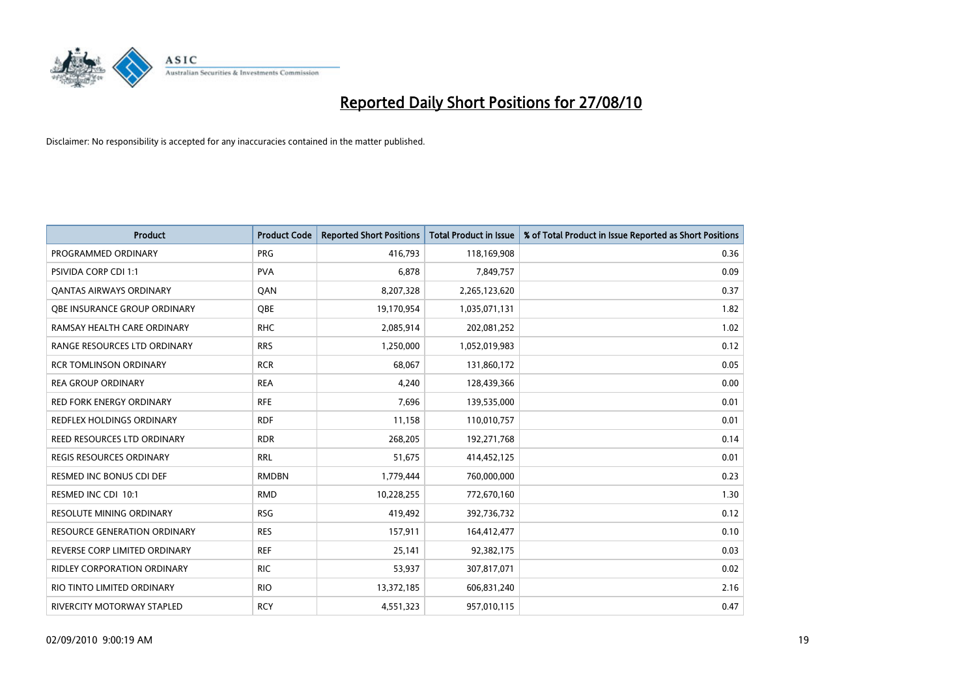

| <b>Product</b>                      | <b>Product Code</b> | <b>Reported Short Positions</b> | Total Product in Issue | % of Total Product in Issue Reported as Short Positions |
|-------------------------------------|---------------------|---------------------------------|------------------------|---------------------------------------------------------|
| PROGRAMMED ORDINARY                 | <b>PRG</b>          | 416,793                         | 118,169,908            | 0.36                                                    |
| PSIVIDA CORP CDI 1:1                | <b>PVA</b>          | 6,878                           | 7,849,757              | 0.09                                                    |
| <b>QANTAS AIRWAYS ORDINARY</b>      | QAN                 | 8,207,328                       | 2,265,123,620          | 0.37                                                    |
| OBE INSURANCE GROUP ORDINARY        | <b>OBE</b>          | 19,170,954                      | 1,035,071,131          | 1.82                                                    |
| RAMSAY HEALTH CARE ORDINARY         | <b>RHC</b>          | 2,085,914                       | 202,081,252            | 1.02                                                    |
| RANGE RESOURCES LTD ORDINARY        | <b>RRS</b>          | 1,250,000                       | 1,052,019,983          | 0.12                                                    |
| <b>RCR TOMLINSON ORDINARY</b>       | <b>RCR</b>          | 68.067                          | 131,860,172            | 0.05                                                    |
| <b>REA GROUP ORDINARY</b>           | <b>REA</b>          | 4,240                           | 128,439,366            | 0.00                                                    |
| RED FORK ENERGY ORDINARY            | <b>RFE</b>          | 7,696                           | 139,535,000            | 0.01                                                    |
| <b>REDFLEX HOLDINGS ORDINARY</b>    | <b>RDF</b>          | 11,158                          | 110,010,757            | 0.01                                                    |
| REED RESOURCES LTD ORDINARY         | <b>RDR</b>          | 268,205                         | 192,271,768            | 0.14                                                    |
| <b>REGIS RESOURCES ORDINARY</b>     | <b>RRL</b>          | 51,675                          | 414,452,125            | 0.01                                                    |
| RESMED INC BONUS CDI DEF            | <b>RMDBN</b>        | 1,779,444                       | 760,000,000            | 0.23                                                    |
| RESMED INC CDI 10:1                 | <b>RMD</b>          | 10,228,255                      | 772,670,160            | 1.30                                                    |
| <b>RESOLUTE MINING ORDINARY</b>     | <b>RSG</b>          | 419,492                         | 392,736,732            | 0.12                                                    |
| <b>RESOURCE GENERATION ORDINARY</b> | <b>RES</b>          | 157,911                         | 164,412,477            | 0.10                                                    |
| REVERSE CORP LIMITED ORDINARY       | <b>REF</b>          | 25,141                          | 92,382,175             | 0.03                                                    |
| RIDLEY CORPORATION ORDINARY         | <b>RIC</b>          | 53,937                          | 307,817,071            | 0.02                                                    |
| RIO TINTO LIMITED ORDINARY          | <b>RIO</b>          | 13,372,185                      | 606,831,240            | 2.16                                                    |
| RIVERCITY MOTORWAY STAPLED          | <b>RCY</b>          | 4,551,323                       | 957,010,115            | 0.47                                                    |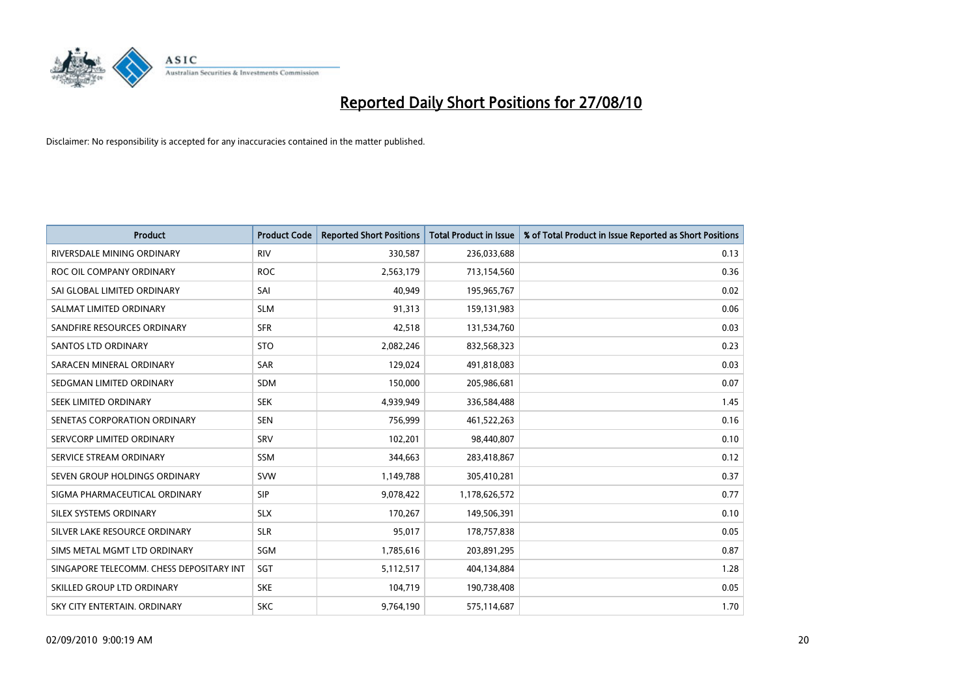

| <b>Product</b>                           | <b>Product Code</b> | <b>Reported Short Positions</b> | Total Product in Issue | % of Total Product in Issue Reported as Short Positions |
|------------------------------------------|---------------------|---------------------------------|------------------------|---------------------------------------------------------|
| RIVERSDALE MINING ORDINARY               | <b>RIV</b>          | 330,587                         | 236,033,688            | 0.13                                                    |
| ROC OIL COMPANY ORDINARY                 | <b>ROC</b>          | 2,563,179                       | 713,154,560            | 0.36                                                    |
| SAI GLOBAL LIMITED ORDINARY              | SAI                 | 40.949                          | 195,965,767            | 0.02                                                    |
| SALMAT LIMITED ORDINARY                  | <b>SLM</b>          | 91,313                          | 159,131,983            | 0.06                                                    |
| SANDFIRE RESOURCES ORDINARY              | <b>SFR</b>          | 42,518                          | 131,534,760            | 0.03                                                    |
| SANTOS LTD ORDINARY                      | <b>STO</b>          | 2,082,246                       | 832,568,323            | 0.23                                                    |
| SARACEN MINERAL ORDINARY                 | <b>SAR</b>          | 129.024                         | 491,818,083            | 0.03                                                    |
| SEDGMAN LIMITED ORDINARY                 | <b>SDM</b>          | 150,000                         | 205,986,681            | 0.07                                                    |
| SEEK LIMITED ORDINARY                    | <b>SEK</b>          | 4,939,949                       | 336,584,488            | 1.45                                                    |
| SENETAS CORPORATION ORDINARY             | <b>SEN</b>          | 756,999                         | 461,522,263            | 0.16                                                    |
| SERVCORP LIMITED ORDINARY                | SRV                 | 102,201                         | 98,440,807             | 0.10                                                    |
| SERVICE STREAM ORDINARY                  | <b>SSM</b>          | 344,663                         | 283,418,867            | 0.12                                                    |
| SEVEN GROUP HOLDINGS ORDINARY            | <b>SVW</b>          | 1,149,788                       | 305,410,281            | 0.37                                                    |
| SIGMA PHARMACEUTICAL ORDINARY            | SIP                 | 9,078,422                       | 1,178,626,572          | 0.77                                                    |
| SILEX SYSTEMS ORDINARY                   | <b>SLX</b>          | 170,267                         | 149,506,391            | 0.10                                                    |
| SILVER LAKE RESOURCE ORDINARY            | <b>SLR</b>          | 95,017                          | 178,757,838            | 0.05                                                    |
| SIMS METAL MGMT LTD ORDINARY             | SGM                 | 1,785,616                       | 203,891,295            | 0.87                                                    |
| SINGAPORE TELECOMM. CHESS DEPOSITARY INT | SGT                 | 5,112,517                       | 404,134,884            | 1.28                                                    |
| SKILLED GROUP LTD ORDINARY               | <b>SKE</b>          | 104,719                         | 190,738,408            | 0.05                                                    |
| SKY CITY ENTERTAIN, ORDINARY             | <b>SKC</b>          | 9,764,190                       | 575,114,687            | 1.70                                                    |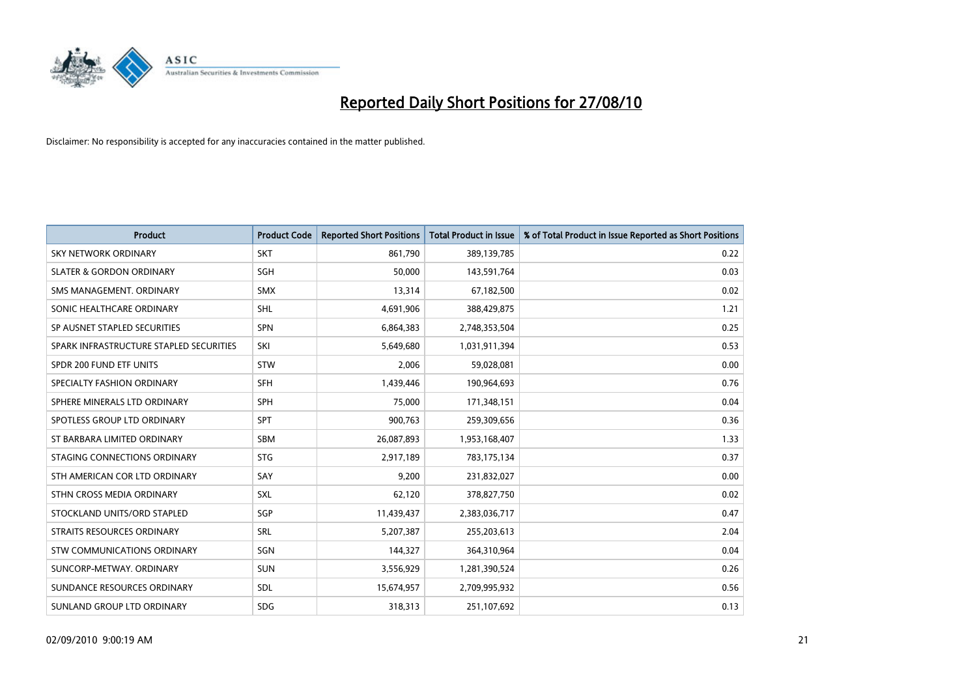

| <b>Product</b>                          | <b>Product Code</b> | <b>Reported Short Positions</b> | Total Product in Issue | % of Total Product in Issue Reported as Short Positions |
|-----------------------------------------|---------------------|---------------------------------|------------------------|---------------------------------------------------------|
| <b>SKY NETWORK ORDINARY</b>             | <b>SKT</b>          | 861,790                         | 389,139,785            | 0.22                                                    |
| <b>SLATER &amp; GORDON ORDINARY</b>     | <b>SGH</b>          | 50,000                          | 143,591,764            | 0.03                                                    |
| SMS MANAGEMENT, ORDINARY                | <b>SMX</b>          | 13,314                          | 67,182,500             | 0.02                                                    |
| SONIC HEALTHCARE ORDINARY               | <b>SHL</b>          | 4,691,906                       | 388,429,875            | 1.21                                                    |
| SP AUSNET STAPLED SECURITIES            | <b>SPN</b>          | 6,864,383                       | 2,748,353,504          | 0.25                                                    |
| SPARK INFRASTRUCTURE STAPLED SECURITIES | SKI                 | 5,649,680                       | 1,031,911,394          | 0.53                                                    |
| SPDR 200 FUND ETF UNITS                 | STW                 | 2,006                           | 59,028,081             | 0.00                                                    |
| SPECIALTY FASHION ORDINARY              | SFH                 | 1,439,446                       | 190,964,693            | 0.76                                                    |
| SPHERE MINERALS LTD ORDINARY            | <b>SPH</b>          | 75,000                          | 171,348,151            | 0.04                                                    |
| SPOTLESS GROUP LTD ORDINARY             | <b>SPT</b>          | 900,763                         | 259,309,656            | 0.36                                                    |
| ST BARBARA LIMITED ORDINARY             | <b>SBM</b>          | 26,087,893                      | 1,953,168,407          | 1.33                                                    |
| STAGING CONNECTIONS ORDINARY            | <b>STG</b>          | 2,917,189                       | 783,175,134            | 0.37                                                    |
| STH AMERICAN COR LTD ORDINARY           | SAY                 | 9,200                           | 231,832,027            | 0.00                                                    |
| STHN CROSS MEDIA ORDINARY               | SXL                 | 62,120                          | 378,827,750            | 0.02                                                    |
| STOCKLAND UNITS/ORD STAPLED             | SGP                 | 11,439,437                      | 2,383,036,717          | 0.47                                                    |
| STRAITS RESOURCES ORDINARY              | SRL                 | 5,207,387                       | 255,203,613            | 2.04                                                    |
| STW COMMUNICATIONS ORDINARY             | SGN                 | 144,327                         | 364,310,964            | 0.04                                                    |
| SUNCORP-METWAY, ORDINARY                | <b>SUN</b>          | 3,556,929                       | 1,281,390,524          | 0.26                                                    |
| SUNDANCE RESOURCES ORDINARY             | <b>SDL</b>          | 15,674,957                      | 2,709,995,932          | 0.56                                                    |
| SUNLAND GROUP LTD ORDINARY              | <b>SDG</b>          | 318,313                         | 251,107,692            | 0.13                                                    |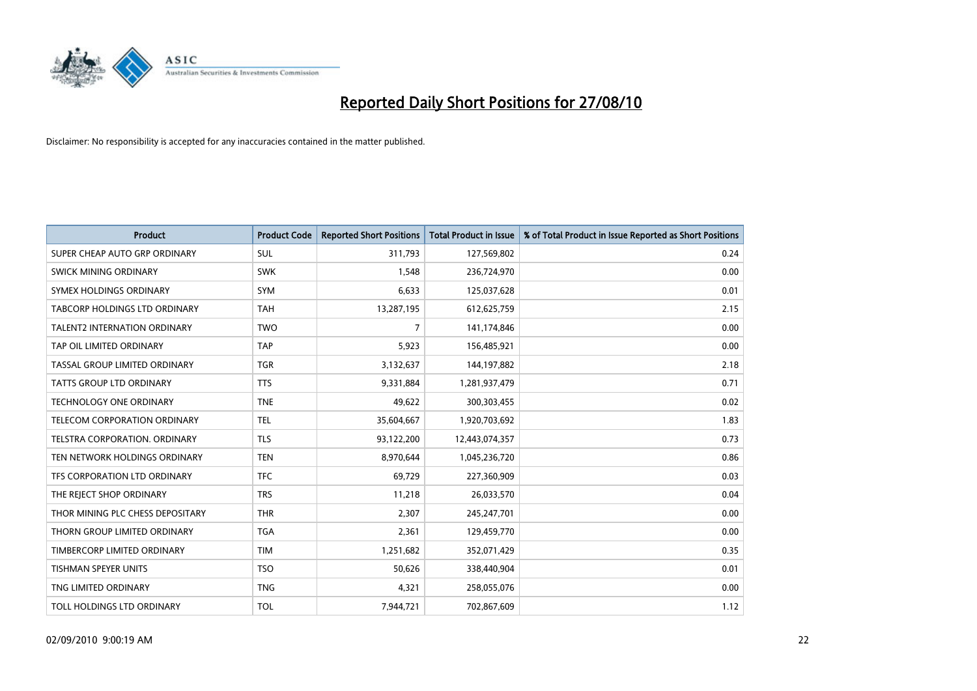

| <b>Product</b>                      | <b>Product Code</b> | <b>Reported Short Positions</b> | <b>Total Product in Issue</b> | % of Total Product in Issue Reported as Short Positions |
|-------------------------------------|---------------------|---------------------------------|-------------------------------|---------------------------------------------------------|
| SUPER CHEAP AUTO GRP ORDINARY       | <b>SUL</b>          | 311,793                         | 127,569,802                   | 0.24                                                    |
| SWICK MINING ORDINARY               | <b>SWK</b>          | 1,548                           | 236,724,970                   | 0.00                                                    |
| SYMEX HOLDINGS ORDINARY             | SYM                 | 6,633                           | 125,037,628                   | 0.01                                                    |
| TABCORP HOLDINGS LTD ORDINARY       | <b>TAH</b>          | 13,287,195                      | 612,625,759                   | 2.15                                                    |
| <b>TALENT2 INTERNATION ORDINARY</b> | <b>TWO</b>          | $\overline{7}$                  | 141,174,846                   | 0.00                                                    |
| TAP OIL LIMITED ORDINARY            | <b>TAP</b>          | 5,923                           | 156,485,921                   | 0.00                                                    |
| TASSAL GROUP LIMITED ORDINARY       | <b>TGR</b>          | 3,132,637                       | 144,197,882                   | 2.18                                                    |
| <b>TATTS GROUP LTD ORDINARY</b>     | <b>TTS</b>          | 9,331,884                       | 1,281,937,479                 | 0.71                                                    |
| TECHNOLOGY ONE ORDINARY             | <b>TNE</b>          | 49,622                          | 300,303,455                   | 0.02                                                    |
| TELECOM CORPORATION ORDINARY        | <b>TEL</b>          | 35,604,667                      | 1,920,703,692                 | 1.83                                                    |
| TELSTRA CORPORATION. ORDINARY       | <b>TLS</b>          | 93,122,200                      | 12,443,074,357                | 0.73                                                    |
| TEN NETWORK HOLDINGS ORDINARY       | <b>TEN</b>          | 8,970,644                       | 1,045,236,720                 | 0.86                                                    |
| TFS CORPORATION LTD ORDINARY        | <b>TFC</b>          | 69,729                          | 227,360,909                   | 0.03                                                    |
| THE REJECT SHOP ORDINARY            | <b>TRS</b>          | 11,218                          | 26,033,570                    | 0.04                                                    |
| THOR MINING PLC CHESS DEPOSITARY    | <b>THR</b>          | 2,307                           | 245,247,701                   | 0.00                                                    |
| THORN GROUP LIMITED ORDINARY        | <b>TGA</b>          | 2,361                           | 129,459,770                   | 0.00                                                    |
| TIMBERCORP LIMITED ORDINARY         | <b>TIM</b>          | 1,251,682                       | 352,071,429                   | 0.35                                                    |
| TISHMAN SPEYER UNITS                | <b>TSO</b>          | 50,626                          | 338,440,904                   | 0.01                                                    |
| TNG LIMITED ORDINARY                | <b>TNG</b>          | 4,321                           | 258,055,076                   | 0.00                                                    |
| TOLL HOLDINGS LTD ORDINARY          | <b>TOL</b>          | 7,944,721                       | 702,867,609                   | 1.12                                                    |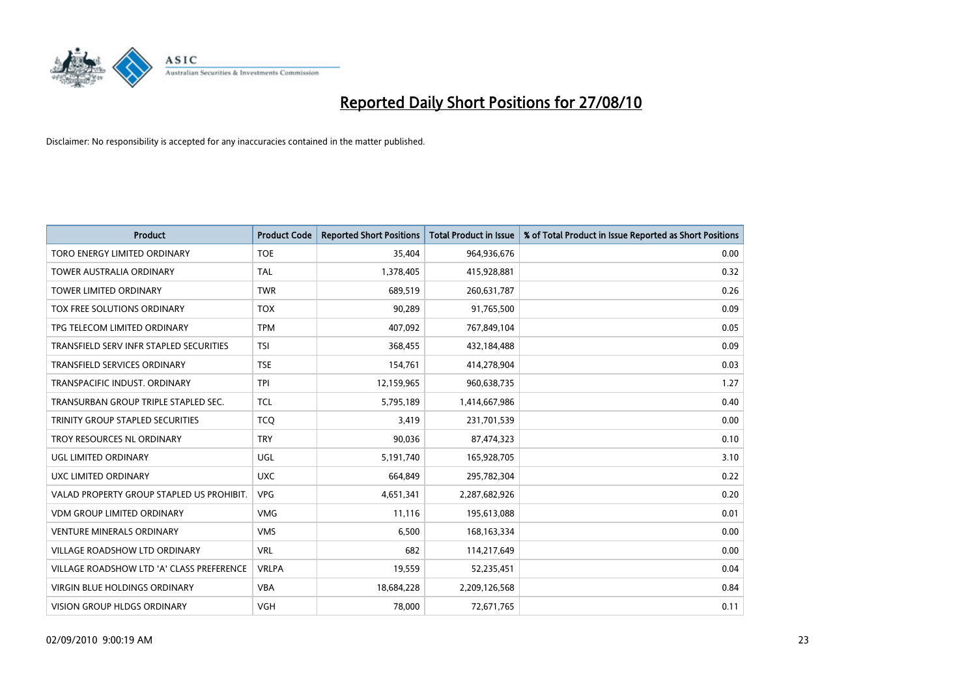

| <b>Product</b>                            | <b>Product Code</b> | <b>Reported Short Positions</b> | Total Product in Issue | % of Total Product in Issue Reported as Short Positions |
|-------------------------------------------|---------------------|---------------------------------|------------------------|---------------------------------------------------------|
| TORO ENERGY LIMITED ORDINARY              | <b>TOE</b>          | 35.404                          | 964,936,676            | 0.00                                                    |
| <b>TOWER AUSTRALIA ORDINARY</b>           | <b>TAL</b>          | 1,378,405                       | 415,928,881            | 0.32                                                    |
| <b>TOWER LIMITED ORDINARY</b>             | <b>TWR</b>          | 689,519                         | 260,631,787            | 0.26                                                    |
| TOX FREE SOLUTIONS ORDINARY               | <b>TOX</b>          | 90,289                          | 91,765,500             | 0.09                                                    |
| TPG TELECOM LIMITED ORDINARY              | <b>TPM</b>          | 407,092                         | 767,849,104            | 0.05                                                    |
| TRANSFIELD SERV INFR STAPLED SECURITIES   | <b>TSI</b>          | 368,455                         | 432,184,488            | 0.09                                                    |
| TRANSFIELD SERVICES ORDINARY              | <b>TSE</b>          | 154,761                         | 414,278,904            | 0.03                                                    |
| TRANSPACIFIC INDUST, ORDINARY             | <b>TPI</b>          | 12,159,965                      | 960,638,735            | 1.27                                                    |
| TRANSURBAN GROUP TRIPLE STAPLED SEC.      | <b>TCL</b>          | 5,795,189                       | 1,414,667,986          | 0.40                                                    |
| TRINITY GROUP STAPLED SECURITIES          | <b>TCO</b>          | 3,419                           | 231,701,539            | 0.00                                                    |
| TROY RESOURCES NL ORDINARY                | <b>TRY</b>          | 90,036                          | 87,474,323             | 0.10                                                    |
| UGL LIMITED ORDINARY                      | UGL                 | 5,191,740                       | 165,928,705            | 3.10                                                    |
| UXC LIMITED ORDINARY                      | <b>UXC</b>          | 664,849                         | 295,782,304            | 0.22                                                    |
| VALAD PROPERTY GROUP STAPLED US PROHIBIT. | <b>VPG</b>          | 4,651,341                       | 2,287,682,926          | 0.20                                                    |
| <b>VDM GROUP LIMITED ORDINARY</b>         | <b>VMG</b>          | 11.116                          | 195,613,088            | 0.01                                                    |
| <b>VENTURE MINERALS ORDINARY</b>          | <b>VMS</b>          | 6,500                           | 168, 163, 334          | 0.00                                                    |
| VILLAGE ROADSHOW LTD ORDINARY             | <b>VRL</b>          | 682                             | 114,217,649            | 0.00                                                    |
| VILLAGE ROADSHOW LTD 'A' CLASS PREFERENCE | <b>VRLPA</b>        | 19,559                          | 52,235,451             | 0.04                                                    |
| <b>VIRGIN BLUE HOLDINGS ORDINARY</b>      | <b>VBA</b>          | 18,684,228                      | 2,209,126,568          | 0.84                                                    |
| VISION GROUP HLDGS ORDINARY               | <b>VGH</b>          | 78,000                          | 72,671,765             | 0.11                                                    |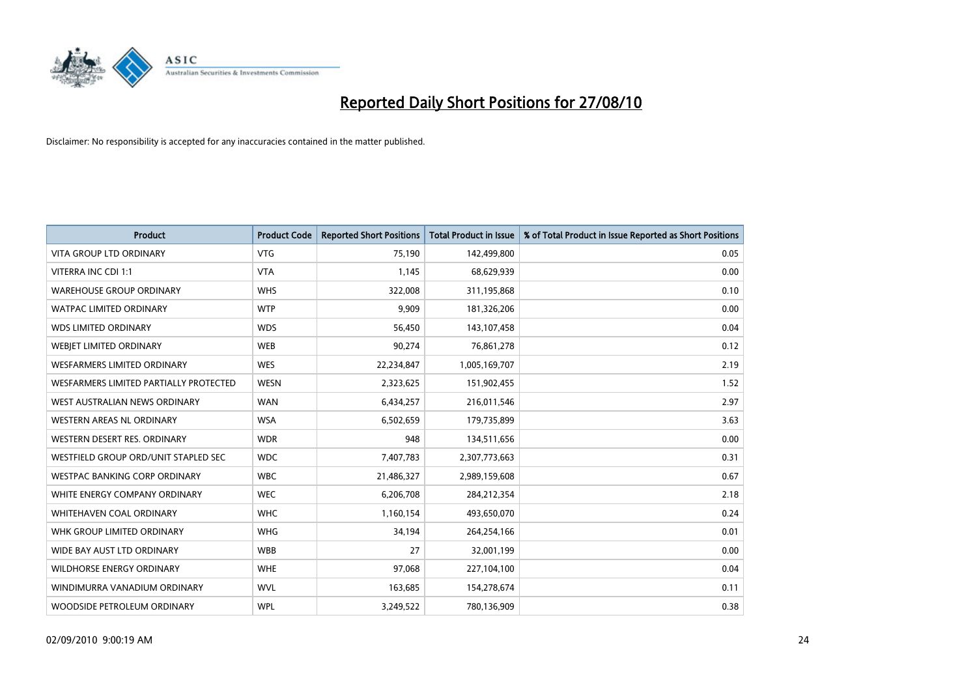

| <b>Product</b>                         | <b>Product Code</b> | <b>Reported Short Positions</b> | <b>Total Product in Issue</b> | % of Total Product in Issue Reported as Short Positions |
|----------------------------------------|---------------------|---------------------------------|-------------------------------|---------------------------------------------------------|
| <b>VITA GROUP LTD ORDINARY</b>         | <b>VTG</b>          | 75,190                          | 142,499,800                   | 0.05                                                    |
| VITERRA INC CDI 1:1                    | <b>VTA</b>          | 1,145                           | 68,629,939                    | 0.00                                                    |
| <b>WAREHOUSE GROUP ORDINARY</b>        | <b>WHS</b>          | 322,008                         | 311,195,868                   | 0.10                                                    |
| <b>WATPAC LIMITED ORDINARY</b>         | <b>WTP</b>          | 9,909                           | 181,326,206                   | 0.00                                                    |
| <b>WDS LIMITED ORDINARY</b>            | <b>WDS</b>          | 56,450                          | 143,107,458                   | 0.04                                                    |
| WEBIET LIMITED ORDINARY                | <b>WEB</b>          | 90,274                          | 76,861,278                    | 0.12                                                    |
| <b>WESFARMERS LIMITED ORDINARY</b>     | <b>WES</b>          | 22,234,847                      | 1,005,169,707                 | 2.19                                                    |
| WESFARMERS LIMITED PARTIALLY PROTECTED | <b>WESN</b>         | 2,323,625                       | 151,902,455                   | 1.52                                                    |
| WEST AUSTRALIAN NEWS ORDINARY          | <b>WAN</b>          | 6,434,257                       | 216,011,546                   | 2.97                                                    |
| WESTERN AREAS NL ORDINARY              | <b>WSA</b>          | 6,502,659                       | 179,735,899                   | 3.63                                                    |
| WESTERN DESERT RES. ORDINARY           | <b>WDR</b>          | 948                             | 134,511,656                   | 0.00                                                    |
| WESTFIELD GROUP ORD/UNIT STAPLED SEC   | <b>WDC</b>          | 7,407,783                       | 2,307,773,663                 | 0.31                                                    |
| WESTPAC BANKING CORP ORDINARY          | <b>WBC</b>          | 21,486,327                      | 2,989,159,608                 | 0.67                                                    |
| WHITE ENERGY COMPANY ORDINARY          | <b>WEC</b>          | 6,206,708                       | 284,212,354                   | 2.18                                                    |
| WHITEHAVEN COAL ORDINARY               | <b>WHC</b>          | 1,160,154                       | 493,650,070                   | 0.24                                                    |
| WHK GROUP LIMITED ORDINARY             | <b>WHG</b>          | 34,194                          | 264,254,166                   | 0.01                                                    |
| WIDE BAY AUST LTD ORDINARY             | <b>WBB</b>          | 27                              | 32,001,199                    | 0.00                                                    |
| WILDHORSE ENERGY ORDINARY              | <b>WHE</b>          | 97,068                          | 227,104,100                   | 0.04                                                    |
| WINDIMURRA VANADIUM ORDINARY           | <b>WVL</b>          | 163,685                         | 154,278,674                   | 0.11                                                    |
| WOODSIDE PETROLEUM ORDINARY            | <b>WPL</b>          | 3,249,522                       | 780,136,909                   | 0.38                                                    |